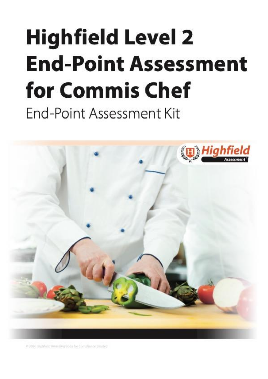# <span id="page-0-1"></span><span id="page-0-0"></span>**Highfield Level 2 End-Point Assessment** for Commis Chef End-Point Assessment Kit



@ 2020 High field Awarding Body for Compliance Umited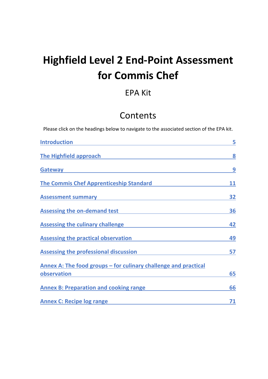# **Highfield Level 2 End-Point Assessment for Commis Chef**

# EPA Kit

# Contents

Please click on the headings below to navigate to the associated section of the EPA kit.

| <b>Introduction</b>                                             | 5  |
|-----------------------------------------------------------------|----|
| The Highfield approach                                          | 8  |
| <b>Gateway</b>                                                  | 9  |
| <b>The Commis Chef Apprenticeship Standard</b>                  | 11 |
| <b>Assessment summary</b>                                       | 32 |
| <b>Assessing the on-demand test</b>                             | 36 |
| <b>Assessing the culinary challenge</b>                         | 42 |
| <b>Assessing the practical observation</b>                      | 49 |
| Assessing the professional discussion                           | 57 |
| Annex A: The food groups – for culinary challenge and practical |    |
| observation                                                     | 65 |
| <b>Annex B: Preparation and cooking range</b>                   | 66 |
| <b>Annex C: Recipe log range</b>                                | 71 |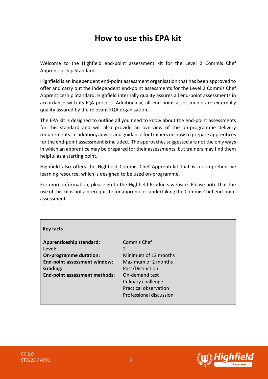# **How to use this EPA kit**

Welcome to the Highfield end-point assessment kit for the Level 2 Commis Chef Apprenticeship Standard.

Highfield is an independent end-point assessment organisation that has been approved to offer and carry out the independent end-point assessments for the Level 2 Commis Chef Apprenticeship Standard. Highfield internally quality assures all end-point assessments in accordance with its IQA process. Additionally, all end-point assessments are externally quality assured by the relevant EQA organisation.

The EPA kit is designed to outline all you need to know about the end-point assessments for this standard and will also provide an overview of the on-programme delivery requirements. In addition**,** advice and guidance for trainers on how to prepare apprentices for the end-point assessment is included. The approaches suggested are not the only ways in which an apprentice may be prepared for their assessments, but trainers may find them helpful as a starting point.

Highfield also offers the Highfield Commis Chef Apprenti-kit that is a comprehensive learning resource, which is designed to be used on-programme.

For more information, please go to the Highfield Products website. Please note that the use of this kit is not a prerequisite for apprentices undertaking the Commis Chef end-point assessment.

| <b>Key facts</b>                     |                              |
|--------------------------------------|------------------------------|
| <b>Apprenticeship standard:</b>      | Commis Chef                  |
| Level:                               |                              |
| <b>On-programme duration:</b>        | Minimum of 12 months         |
| End-point assessment window:         | Maximum of 2 months          |
| Grading:                             | Pass/Distinction             |
| <b>End-point assessment methods:</b> | On-demand test               |
|                                      | Culinary challenge           |
|                                      | <b>Practical observation</b> |
|                                      | Professional discussion      |

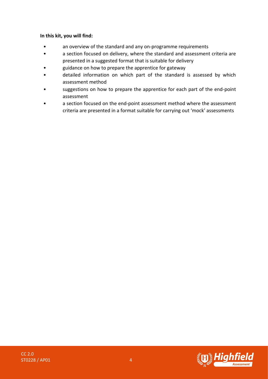#### **In this kit, you will find:**

- an overview of the standard and any on-programme requirements
- a section focused on delivery, where the standard and assessment criteria are presented in a suggested format that is suitable for delivery
- guidance on how to prepare the apprentice for gateway
- detailed information on which part of the standard is assessed by which assessment method
- suggestions on how to prepare the apprentice for each part of the end-point assessment
- a section focused on the end-point assessment method where the assessment criteria are presented in a format suitable for carrying out 'mock' assessments

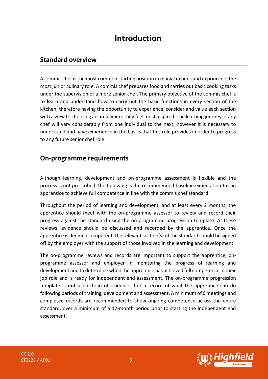# **Introduction**

#### <span id="page-4-0"></span>**Standard overview**

A commis chef is the most common starting position in many kitchens and in principle, the most junior culinary role. A commis chef prepares food and carries out basic cooking tasks under the supervision of a more senior chef. The primary objective of the commis chef is to learn and understand how to carry out the basic functions in every section of the kitchen, therefore having the opportunity to experience, consider and value each section with a view to choosing an area where they feel most inspired. The learning journey of any chef will vary considerably from one individual to the next, however it is necessary to understand and have experience in the basics that this role provides in order to progress to any future senior chef role.

#### **On-programme requirements**

Although learning, development and on-programme assessment is flexible and the process is not prescribed, the following is the recommended baseline expectation for an apprentice to achieve full competence in line with the commis chef standard.

Throughout the period of learning and development, and at least every 2 months, the apprentice should meet with the on-programme assessor to review and record their progress against the standard using the on-programme progression template. At these reviews, evidence should be discussed and recorded by the apprentice. Once the apprentice is deemed competent, the relevant section(s) of the standard should be signed off by the employer with the support of those involved in the learning and development.

The on-programme reviews and records are important to support the apprentice, onprogramme assessor and employer in monitoring the progress of learning and development and to determine when the apprentice has achieved full competence in their job role and is ready for independent end assessment. The on-programme progression template is **not** a portfolio of evidence, but a record of what the apprentice can do following periods of training, development and assessment. A minimum of 6 meetings and completed records are recommended to show ongoing competence across the entire standard, over a minimum of a 12-month period prior to starting the independent end assessment.

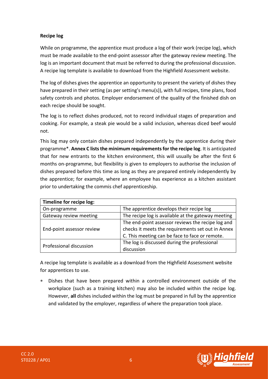#### **Recipe log**

While on programme, the apprentice must produce a log of their work (recipe log), which must be made available to the end-point assessor after the gateway review meeting. The log is an important document that must be referred to during the professional discussion. A recipe log template is available to download from the Highfield Assessment website.

The log of dishes gives the apprentice an opportunity to present the variety of dishes they have prepared in their setting (as per setting's menu(s)), with full recipes, time plans, food safety controls and photos. Employer endorsement of the quality of the finished dish on each recipe should be sought.

The log is to reflect dishes produced, not to record individual stages of preparation and cooking. For example, a steak pie would be a valid inclusion, whereas diced beef would not.

This log may only contain dishes prepared independently by the apprentice during their programme\*. **Annex C lists the minimum requirementsfor the recipe log**. It is anticipated that for new entrants to the kitchen environment, this will usually be after the first 6 months on-programme, but flexibility is given to employers to authorise the inclusion of dishes prepared before this time as long as they are prepared entirely independently by the apprentice; for example, where an employee has experience as a kitchen assistant prior to undertaking the commis chef apprenticeship.

| Timeline for recipe log:  |                                                    |  |  |  |
|---------------------------|----------------------------------------------------|--|--|--|
| On-programme              | The apprentice develops their recipe log           |  |  |  |
| Gateway review meeting    | The recipe log is available at the gateway meeting |  |  |  |
|                           | The end-point assessor reviews the recipe log and  |  |  |  |
| End-point assessor review | checks it meets the requirements set out in Annex  |  |  |  |
|                           | C. This meeting can be face to face or remote.     |  |  |  |
| Professional discussion   | The log is discussed during the professional       |  |  |  |
|                           | discussion                                         |  |  |  |

A recipe log template is available as a download from the Highfield Assessment website for apprentices to use.

 Dishes that have been prepared within a controlled environment outside of the workplace (such as a training kitchen) may also be included within the recipe log. However, **all** dishes included within the log must be prepared in full by the apprentice and validated by the employer, regardless of where the preparation took place.



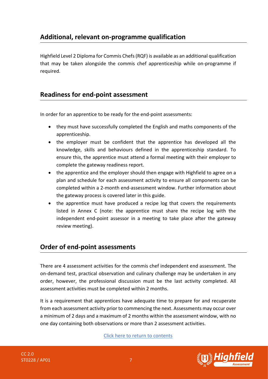# **Additional, relevant on-programme qualification**

Highfield Level 2 Diploma for Commis Chefs(RQF) is available as an additional qualification that may be taken alongside the commis chef apprenticeship while on-programme if required.

#### **Readiness for end-point assessment**

In order for an apprentice to be ready for the end-point assessments:

- they must have successfully completed the English and maths components of the apprenticeship.
- the employer must be confident that the apprentice has developed all the knowledge, skills and behaviours defined in the apprenticeship standard. To ensure this, the apprentice must attend a formal meeting with their employer to complete the gateway readiness report.
- the apprentice and the employer should then engage with Highfield to agree on a plan and schedule for each assessment activity to ensure all components can be completed within a 2-month end-assessment window. Further information about the gateway process is covered later in this guide.
- the apprentice must have produced a recipe log that covers the requirements listed in Annex C (note: the apprentice must share the recipe log with the independent end-point assessor in a meeting to take place after the gateway review meeting).

## **Order of end-point assessments**

There are 4 assessment activities for the commis chef independent end assessment. The on-demand test, practical observation and culinary challenge may be undertaken in any order, however, the professional discussion must be the last activity completed. All assessment activities must be completed within 2 months.

It is a requirement that apprentices have adequate time to prepare for and recuperate from each assessment activity prior to commencing the next. Assessments may occur over a minimum of 2 days and a maximum of 2 months within the assessment window, with no one day containing both observations or more than 2 assessment activities.



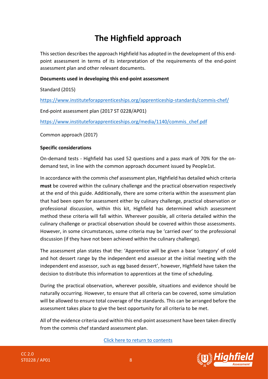# **The Highfield approach**

<span id="page-7-0"></span>This section describes the approach Highfield has adopted in the development of this endpoint assessment in terms of its interpretation of the requirements of the end-point assessment plan and other relevant documents.

#### **Documents used in developing this end-point assessment**

Standard (2015)

<https://www.instituteforapprenticeships.org/apprenticeship-standards/commis-chef/>

End-point assessment plan (2017 ST 0228/AP01)

[https://www.instituteforapprenticeships.org/media/1140/commis\\_chef.pdf](https://www.instituteforapprenticeships.org/media/1140/commis_chef.pdf)

Common approach (2017)

#### **Specific considerations**

On-demand tests - Highfield has used 52 questions and a pass mark of 70% for the ondemand test, in line with the common approach document issued by People1st.

In accordance with the commis chef assessment plan, Highfield has detailed which criteria **must** be covered within the culinary challenge and the practical observation respectively at the end of this guide. Additionally, there are some criteria within the assessment plan that had been open for assessment either by culinary challenge, practical observation or professional discussion, within this kit, Highfield has determined which assessment method these criteria will fall within. Wherever possible, all criteria detailed within the culinary challenge or practical observation should be covered within those assessments. However, in some circumstances, some criteria may be 'carried over' to the professional discussion (if they have not been achieved within the culinary challenge).

The assessment plan states that the: 'Apprentice will be given a base 'category' of cold and hot dessert range by the independent end assessor at the initial meeting with the independent end assessor, such as egg based dessert', however, Highfield have taken the decision to distribute this information to apprentices at the time of scheduling.

During the practical observation, wherever possible, situations and evidence should be naturally occurring. However, to ensure that all criteria can be covered, some simulation will be allowed to ensure total coverage of the standards. This can be arranged before the assessment takes place to give the best opportunity for all criteria to be met.

All of the evidence criteria used within this end-point assessment have been taken directly from the commis chef standard assessment plan.

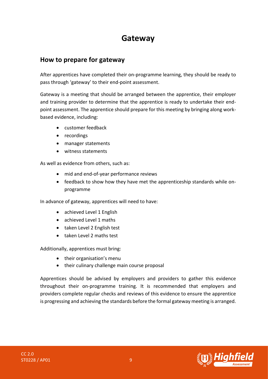# **Gateway**

## <span id="page-8-0"></span>**How to prepare for gateway**

After apprentices have completed their on-programme learning, they should be ready to pass through 'gateway' to their end-point assessment.

Gateway is a meeting that should be arranged between the apprentice, their employer and training provider to determine that the apprentice is ready to undertake their endpoint assessment. The apprentice should prepare for this meeting by bringing along workbased evidence, including:

- customer feedback
- recordings
- manager statements
- witness statements

As well as evidence from others, such as:

- mid and end-of-year performance reviews
- feedback to show how they have met the apprenticeship standards while onprogramme

In advance of gateway, apprentices will need to have:

- achieved Level 1 English
- achieved Level 1 maths
- taken Level 2 English test
- taken Level 2 maths test

Additionally, apprentices must bring:

- their organisation's menu
- their culinary challenge main course proposal

Apprentices should be advised by employers and providers to gather this evidence throughout their on-programme training. It is recommended that employers and providers complete regular checks and reviews of this evidence to ensure the apprentice is progressing and achieving the standards before the formal gateway meeting is arranged.



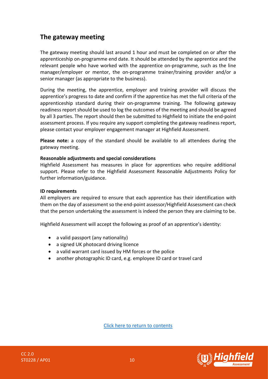# **The gateway meeting**

The gateway meeting should last around 1 hour and must be completed on or after the apprenticeship on-programme end date. It should be attended by the apprentice and the relevant people who have worked with the apprentice on-programme, such as the line manager/employer or mentor, the on-programme trainer/training provider and/or a senior manager (as appropriate to the business).

During the meeting, the apprentice, employer and training provider will discuss the apprentice's progress to date and confirm if the apprentice has met the full criteria of the apprenticeship standard during their on-programme training. The following gateway readiness report should be used to log the outcomes of the meeting and should be agreed by all 3 parties. The report should then be submitted to Highfield to initiate the end-point assessment process. If you require any support completing the gateway readiness report, please contact your employer engagement manager at Highfield Assessment.

**Please note:** a copy of the standard should be available to all attendees during the gateway meeting.

#### **Reasonable adjustments and special considerations**

Highfield Assessment has measures in place for apprentices who require additional support. Please refer to the Highfield Assessment Reasonable Adjustments Policy for further information/guidance.

#### **ID requirements**

All employers are required to ensure that each apprentice has their identification with them on the day of assessment so the end-point assessor/Highfield Assessment can check that the person undertaking the assessment is indeed the person they are claiming to be.

Highfield Assessment will accept the following as proof of an apprentice's identity:

- a valid passport (any nationality)
- a signed UK photocard driving licence
- a valid warrant card issued by HM forces or the police
- another photographic ID card, e.g. employee ID card or travel card



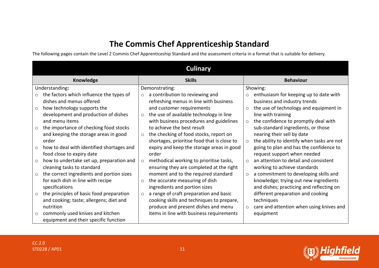# **The Commis Chef Apprenticeship Standard**

The following pages contain the Level 2 Commis Chef Apprenticeship Standard and the assessment criteria in a format that is suitable for delivery.

<span id="page-10-0"></span>

|         | <b>Culinary</b>                           |         |                                             |          |                                            |
|---------|-------------------------------------------|---------|---------------------------------------------|----------|--------------------------------------------|
|         | <b>Knowledge</b>                          |         | <b>Skills</b>                               |          | <b>Behaviour</b>                           |
|         | Understanding:                            |         | Demonstrating:                              |          | Showing:                                   |
| $\circ$ | the factors which influence the types of  | $\circ$ | a contribution to reviewing and             | $\circ$  | enthusiasm for keeping up to date with     |
|         | dishes and menus offered                  |         | refreshing menus in line with business      |          | business and industry trends               |
| $\circ$ | how technology supports the               |         | and customer requirements                   | $\circ$  | the use of technology and equipment in     |
|         | development and production of dishes      | $\circ$ | the use of available technology in line     |          | line with training                         |
|         | and menu items                            |         | with business procedures and guidelines     | $\circ$  | the confidence to promptly deal with       |
| $\circ$ | the importance of checking food stocks    |         | to achieve the best result                  |          | sub-standard ingredients, or those         |
|         | and keeping the storage areas in good     | $\circ$ | the checking of food stocks, report on      |          | nearing their sell by date                 |
|         | order                                     |         | shortages, prioritise food that is close to | $\circ$  | the ability to identify when tasks are not |
| $\circ$ | how to deal with identified shortages and |         | expiry and keep the storage areas in good   |          | going to plan and has the confidence to    |
|         | food close to expiry date                 |         | order                                       |          | request support when needed                |
| $\circ$ | how to undertake set up, preparation and  | $\circ$ | methodical working to prioritise tasks,     | $\Omega$ | an attention to detail and consistent      |
|         | cleaning tasks to standard                |         | ensuring they are completed at the right    |          | working to achieve standards               |
| $\circ$ | the correct ingredients and portion sizes |         | moment and to the required standard         | $\circ$  | a commitment to developing skills and      |
|         | for each dish in line with recipe         | $\circ$ | the accurate measuring of dish              |          | knowledge; trying out new ingredients      |
|         | specifications                            |         | ingredients and portion sizes               |          | and dishes; practicing and reflecting on   |
| $\circ$ | the principles of basic food preparation  | $\circ$ | a range of craft preparation and basic      |          | different preparation and cooking          |
|         | and cooking; taste; allergens; diet and   |         | cooking skills and techniques to prepare,   |          | techniques                                 |
|         | nutrition                                 |         | produce and present dishes and menu         | $\circ$  | care and attention when using knives and   |
| $\circ$ | commonly used knives and kitchen          |         | items in line with business requirements    |          | equipment                                  |
|         | equipment and their specific function     |         |                                             |          |                                            |

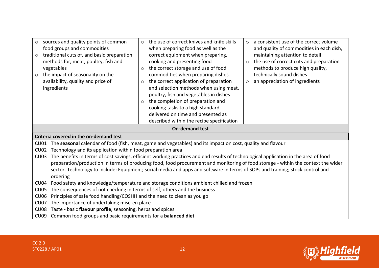| sources and quality points of common<br>$\circ$<br>food groups and commodities<br>traditional cuts of, and basic preparation<br>$\circ$<br>methods for, meat, poultry, fish and<br>vegetables<br>the impact of seasonality on the<br>$\circ$<br>availability, quality and price of<br>ingredients | the use of correct knives and knife skills<br>$\circ$<br>when preparing food as well as the<br>correct equipment when preparing,<br>cooking and presenting food<br>the correct storage and use of food<br>$\circ$<br>commodities when preparing dishes<br>the correct application of preparation<br>$\circ$<br>and selection methods when using meat,<br>poultry, fish and vegetables in dishes<br>the completion of preparation and<br>$\circ$<br>cooking tasks to a high standard,<br>delivered on time and presented as<br>described within the recipe specification | a consistent use of the correct volume<br>$\circ$<br>and quality of commodities in each dish,<br>maintaining attention to detail<br>the use of correct cuts and preparation<br>$\circ$<br>methods to produce high quality,<br>technically sound dishes<br>an appreciation of ingredients<br>$\circ$ |  |
|---------------------------------------------------------------------------------------------------------------------------------------------------------------------------------------------------------------------------------------------------------------------------------------------------|-------------------------------------------------------------------------------------------------------------------------------------------------------------------------------------------------------------------------------------------------------------------------------------------------------------------------------------------------------------------------------------------------------------------------------------------------------------------------------------------------------------------------------------------------------------------------|-----------------------------------------------------------------------------------------------------------------------------------------------------------------------------------------------------------------------------------------------------------------------------------------------------|--|
|                                                                                                                                                                                                                                                                                                   | <b>On-demand test</b>                                                                                                                                                                                                                                                                                                                                                                                                                                                                                                                                                   |                                                                                                                                                                                                                                                                                                     |  |
| Criteria covered in the on-demand test                                                                                                                                                                                                                                                            |                                                                                                                                                                                                                                                                                                                                                                                                                                                                                                                                                                         |                                                                                                                                                                                                                                                                                                     |  |
| The seasonal calendar of food (fish, meat, game and vegetables) and its impact on cost, quality and flavour<br>C <sub>U01</sub>                                                                                                                                                                   |                                                                                                                                                                                                                                                                                                                                                                                                                                                                                                                                                                         |                                                                                                                                                                                                                                                                                                     |  |
| <b>CU02</b><br>Technology and its application within food preparation area                                                                                                                                                                                                                        |                                                                                                                                                                                                                                                                                                                                                                                                                                                                                                                                                                         |                                                                                                                                                                                                                                                                                                     |  |
| The benefits in terms of cost savings, efficient working practices and end results of technological application in the area of food<br><b>CU03</b>                                                                                                                                                |                                                                                                                                                                                                                                                                                                                                                                                                                                                                                                                                                                         |                                                                                                                                                                                                                                                                                                     |  |
| preparation/production in terms of producing food, food procurement and monitoring of food storage - within the context the wider                                                                                                                                                                 |                                                                                                                                                                                                                                                                                                                                                                                                                                                                                                                                                                         |                                                                                                                                                                                                                                                                                                     |  |
| sector. Technology to include: Equipment; social media and apps and software in terms of SOPs and training; stock control and<br>ordering                                                                                                                                                         |                                                                                                                                                                                                                                                                                                                                                                                                                                                                                                                                                                         |                                                                                                                                                                                                                                                                                                     |  |
| Food safety and knowledge/temperature and storage conditions ambient chilled and frozen<br><b>CU04</b>                                                                                                                                                                                            |                                                                                                                                                                                                                                                                                                                                                                                                                                                                                                                                                                         |                                                                                                                                                                                                                                                                                                     |  |
| <b>CU05</b><br>The consequences of not checking in terms of self, others and the business                                                                                                                                                                                                         |                                                                                                                                                                                                                                                                                                                                                                                                                                                                                                                                                                         |                                                                                                                                                                                                                                                                                                     |  |
| Principles of safe food handling/COSHH and the need to clean as you go<br><b>CU06</b>                                                                                                                                                                                                             |                                                                                                                                                                                                                                                                                                                                                                                                                                                                                                                                                                         |                                                                                                                                                                                                                                                                                                     |  |
| The importance of undertaking mise-en place<br><b>CU07</b>                                                                                                                                                                                                                                        |                                                                                                                                                                                                                                                                                                                                                                                                                                                                                                                                                                         |                                                                                                                                                                                                                                                                                                     |  |
| CU <sub>08</sub>                                                                                                                                                                                                                                                                                  | Taste - basic flavour profile, seasoning, herbs and spices                                                                                                                                                                                                                                                                                                                                                                                                                                                                                                              |                                                                                                                                                                                                                                                                                                     |  |
| CU <sub>09</sub>                                                                                                                                                                                                                                                                                  | Common food groups and basic requirements for a <b>balanced diet</b>                                                                                                                                                                                                                                                                                                                                                                                                                                                                                                    |                                                                                                                                                                                                                                                                                                     |  |

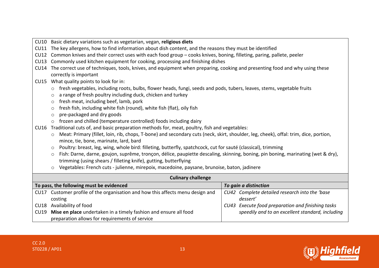CU10 Basic dietary variations such as vegetarian, vegan, **religious diets** CU11 The key allergens, how to find information about dish content, and the reasons they must be identified CU12 Common knives and their correct uses with each food group – cooks knives, boning, filleting, paring, pallete, peeler CU13 Commonly used kitchen equipment for cooking, processing and finishing dishes CU14 The correct use of techniques, tools, knives, and equipment when preparing, cooking and presenting food and why using these correctly is important CU15 What quality points to look for in:  $\circ$  fresh vegetables, including roots, bulbs, flower heads, fungi, seeds and pods, tubers, leaves, stems, vegetable fruits  $\circ$  a range of fresh poultry including duck, chicken and turkey o fresh meat, including beef, lamb, pork  $\circ$  fresh fish, including white fish (round), white fish (flat), oily fish o pre-packaged and dry goods o frozen and chilled (temperature controlled) foods including dairy CU16 Traditional cuts of, and basic preparation methods for, meat, poultry, fish and vegetables: o Meat: Primary (fillet, loin, rib, chops, T-bone) and secondary cuts (neck, skirt, shoulder, leg, cheek), offal: trim, dice, portion, mince, tie, bone, marinate, lard, bard o Poultry: breast, leg, wing, whole bird: filleting, butterfly, spatchcock, cut for sauté (classical), trimming o Fish: Darne, darne, goujon, suprême, tronçon, délice, paupiette descaling, skinning, boning, pin boning, marinating (wet & dry), trimming (using shears / filleting knife), gutting, butterflying o Vegetables: French cuts - julienne, mirepoix, macedoine, paysane, brunoise, baton, jadinere **Culinary challenge To pass, the following must be evidenced** *To gain a distinction* CU17 Customer profile of the organisation and how this affects menu design and costing CU18 Availability of food CU19 **Mise en place** undertaken in a timely fashion and ensure all food preparation allows for requirements of service *CU42 Complete detailed research into the 'base dessert' CU43 Execute food preparation and finishing tasks speedily and to an excellent standard, including*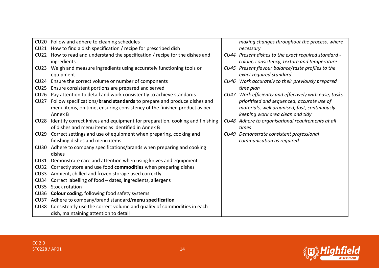|                  | CU20 Follow and adhere to cleaning schedules                                 |      | making changes throughout the process, where         |
|------------------|------------------------------------------------------------------------------|------|------------------------------------------------------|
| CU21             | How to find a dish specification / recipe for prescribed dish                |      | necessary                                            |
| CU22             | How to read and understand the specification / recipe for the dishes and     |      | CU44 Present dishes to the exact required standard - |
|                  | ingredients                                                                  |      | colour, consistency, texture and temperature         |
| CU23             | Weigh and measure ingredients using accurately functioning tools or          |      | CU45 Present flavour balance/taste profiles to the   |
|                  | equipment                                                                    |      | exact required standard                              |
| CU24             | Ensure the correct volume or number of components                            |      | CU46 Work accurately to their previously prepared    |
| CU25             | Ensure consistent portions are prepared and served                           |      | time plan                                            |
| CU26             | Pay attention to detail and work consistently to achieve standards           | CU47 | Work efficiently and effectively with ease, tasks    |
| CU27             | Follow specifications/brand standards to prepare and produce dishes and      |      | prioritised and sequenced, accurate use of           |
|                  | menu items, on time, ensuring consistency of the finished product as per     |      | materials, well organised, fast, continuously        |
|                  | Annex B                                                                      |      | keeping work area clean and tidy                     |
| CU <sub>28</sub> | Identify correct knives and equipment for preparation, cooking and finishing |      | CU48 Adhere to organisational requirements at all    |
|                  | of dishes and menu items as identified in Annex B                            |      | times                                                |
| CU29             | Correct settings and use of equipment when preparing, cooking and            |      | CU49 Demonstrate consistent professional             |
|                  | finishing dishes and menu items                                              |      | communication as required                            |
| CU30             | Adhere to company specifications/brands when preparing and cooking           |      |                                                      |
|                  | dishes                                                                       |      |                                                      |
| CU31             | Demonstrate care and attention when using knives and equipment               |      |                                                      |
| CU32             | Correctly store and use food commodities when preparing dishes               |      |                                                      |
| CU33             | Ambient, chilled and frozen storage used correctly                           |      |                                                      |
| CU34             | Correct labelling of food - dates, ingredients, allergens                    |      |                                                      |
| CU35             | Stock rotation                                                               |      |                                                      |
| CU36             | <b>Colour coding, following food safety systems</b>                          |      |                                                      |
| CU37             | Adhere to company/brand standard/menu specification                          |      |                                                      |
| CU38             | Consistently use the correct volume and quality of commodities in each       |      |                                                      |
|                  | dish, maintaining attention to detail                                        |      |                                                      |

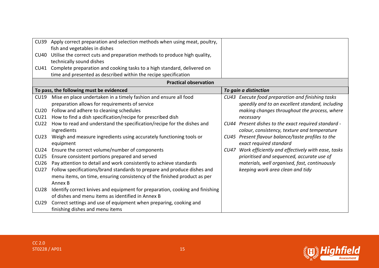| <b>CU39</b><br>CU40<br>CU41                                                                               | Apply correct preparation and selection methods when using meat, poultry,<br>fish and vegetables in dishes<br>Utilise the correct cuts and preparation methods to produce high quality,<br>technically sound dishes<br>Complete preparation and cooking tasks to a high standard, delivered on<br>time and presented as described within the recipe specification                                                                                                                                                                                                                                                                                                                                                                                                                                                                                                                                                                                               |             |                                                                                                                                                                                                                                                                                                                                                                                                                                                                                                                                                     |
|-----------------------------------------------------------------------------------------------------------|-----------------------------------------------------------------------------------------------------------------------------------------------------------------------------------------------------------------------------------------------------------------------------------------------------------------------------------------------------------------------------------------------------------------------------------------------------------------------------------------------------------------------------------------------------------------------------------------------------------------------------------------------------------------------------------------------------------------------------------------------------------------------------------------------------------------------------------------------------------------------------------------------------------------------------------------------------------------|-------------|-----------------------------------------------------------------------------------------------------------------------------------------------------------------------------------------------------------------------------------------------------------------------------------------------------------------------------------------------------------------------------------------------------------------------------------------------------------------------------------------------------------------------------------------------------|
|                                                                                                           | <b>Practical observation</b>                                                                                                                                                                                                                                                                                                                                                                                                                                                                                                                                                                                                                                                                                                                                                                                                                                                                                                                                    |             |                                                                                                                                                                                                                                                                                                                                                                                                                                                                                                                                                     |
|                                                                                                           | To pass, the following must be evidenced                                                                                                                                                                                                                                                                                                                                                                                                                                                                                                                                                                                                                                                                                                                                                                                                                                                                                                                        |             | To gain a distinction                                                                                                                                                                                                                                                                                                                                                                                                                                                                                                                               |
| CU19<br>CU20<br>CU21<br><b>CU22</b><br>CU23<br>CU24<br>CU25<br>CU26<br>CU27<br><b>CU28</b><br><b>CU29</b> | Mise en place undertaken in a timely fashion and ensure all food<br>preparation allows for requirements of service<br>Follow and adhere to cleaning schedules<br>How to find a dish specification/recipe for prescribed dish<br>How to read and understand the specification/recipe for the dishes and<br>ingredients<br>Weigh and measure ingredients using accurately functioning tools or<br>equipment<br>Ensure the correct volume/number of components<br>Ensure consistent portions prepared and served<br>Pay attention to detail and work consistently to achieve standards<br>Follow specifications/brand standards to prepare and produce dishes and<br>menu items, on time, ensuring consistency of the finished product as per<br>Annex B<br>Identify correct knives and equipment for preparation, cooking and finishing<br>of dishes and menu items as identified in Annex B<br>Correct settings and use of equipment when preparing, cooking and | <b>CU47</b> | CU43 Execute food preparation and finishing tasks<br>speedily and to an excellent standard, including<br>making changes throughout the process, where<br>necessary<br>CU44 Present dishes to the exact required standard -<br>colour, consistency, texture and temperature<br>CU45 Present flavour balance/taste profiles to the<br>exact required standard<br>Work efficiently and effectively with ease, tasks<br>prioritised and sequenced, accurate use of<br>materials, well organised, fast, continuously<br>keeping work area clean and tidy |

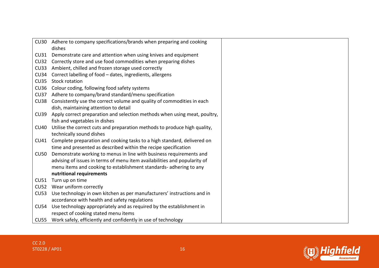| CU30        | Adhere to company specifications/brands when preparing and cooking<br>dishes |
|-------------|------------------------------------------------------------------------------|
| CU31        | Demonstrate care and attention when using knives and equipment               |
| CU32        | Correctly store and use food commodities when preparing dishes               |
| CU33        | Ambient, chilled and frozen storage used correctly                           |
| CU34        | Correct labelling of food - dates, ingredients, allergens                    |
| CU35        | <b>Stock rotation</b>                                                        |
| CU36        | Colour coding, following food safety systems                                 |
| CU37        |                                                                              |
|             | Adhere to company/brand standard/menu specification                          |
| CU38        | Consistently use the correct volume and quality of commodities in each       |
|             | dish, maintaining attention to detail                                        |
| CU39        | Apply correct preparation and selection methods when using meat, poultry,    |
|             | fish and vegetables in dishes                                                |
| <b>CU40</b> | Utilise the correct cuts and preparation methods to produce high quality,    |
|             | technically sound dishes                                                     |
| CU41        | Complete preparation and cooking tasks to a high standard, delivered on      |
|             | time and presented as described within the recipe specification              |
| <b>CU50</b> | Demonstrate working to menus in line with business requirements and          |
|             | advising of issues in terms of menu item availabilities and popularity of    |
|             | menu items and cooking to establishment standards- adhering to any           |
|             | nutritional requirements                                                     |
| CU51        | Turn up on time                                                              |
| CU52        | Wear uniform correctly                                                       |
| CU53        | Use technology in own kitchen as per manufacturers' instructions and in      |
|             | accordance with health and safety regulations                                |
| CU54        | Use technology appropriately and as required by the establishment in         |
|             | respect of cooking stated menu items                                         |
| CU55        | Work safely, efficiently and confidently in use of technology                |

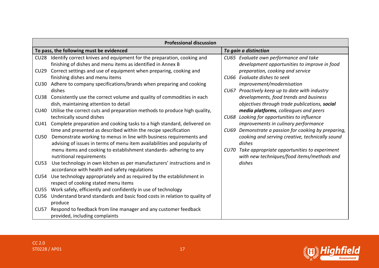|             | <b>Professional discussion</b>                                                                                                                   |                                                                                                        |  |  |  |
|-------------|--------------------------------------------------------------------------------------------------------------------------------------------------|--------------------------------------------------------------------------------------------------------|--|--|--|
|             | To pass, the following must be evidenced                                                                                                         | To gain a distinction                                                                                  |  |  |  |
| <b>CU28</b> | Identify correct knives and equipment for the preparation, cooking and<br>finishing of dishes and menu items as identified in Annex B            | CU65 Evaluate own performance and take<br>development opportunities to improve in food                 |  |  |  |
| CU29        | Correct settings and use of equipment when preparing, cooking and<br>finishing dishes and menu items                                             | preparation, cooking and service<br>CU66 Evaluate dishes to seek                                       |  |  |  |
| CU30        | Adhere to company specifications/brands when preparing and cooking<br>dishes                                                                     | improvement/modernisation<br>CU67 Proactively keep up to date with industry                            |  |  |  |
| CU38        | Consistently use the correct volume and quality of commodities in each<br>dish, maintaining attention to detail                                  | developments, food trends and business<br>objectives through trade publications, social                |  |  |  |
| <b>CU40</b> | Utilise the correct cuts and preparation methods to produce high quality,<br>technically sound dishes                                            | media platforms, colleagues and peers<br>CU68 Looking for opportunities to influence                   |  |  |  |
| CU41        | Complete preparation and cooking tasks to a high standard, delivered on<br>time and presented as described within the recipe specification       | improvements in culinary performance<br>Demonstrate a passion for cooking by preparing,<br><b>CU69</b> |  |  |  |
| <b>CU50</b> | Demonstrate working to menus in line with business requirements and<br>advising of issues in terms of menu item availabilities and popularity of | cooking and serving creative, technically sound<br>dishes                                              |  |  |  |
|             | menu items and cooking to establishment standards- adhering to any<br>nutritional requirements                                                   | Take appropriate opportunities to experiment<br>CU70<br>with new techniques/food items/methods and     |  |  |  |
| CU53        | Use technology in own kitchen as per manufacturers' instructions and in<br>accordance with health and safety regulations                         | dishes                                                                                                 |  |  |  |
| CU54        | Use technology appropriately and as required by the establishment in<br>respect of cooking stated menu items                                     |                                                                                                        |  |  |  |
| <b>CU55</b> | Work safely, efficiently and confidently in use of technology                                                                                    |                                                                                                        |  |  |  |
| <b>CU56</b> | Understand brand standards and basic food costs in relation to quality of<br>produce                                                             |                                                                                                        |  |  |  |
| <b>CU57</b> | Respond to feedback from line manager and any customer feedback<br>provided, including complaints                                                |                                                                                                        |  |  |  |

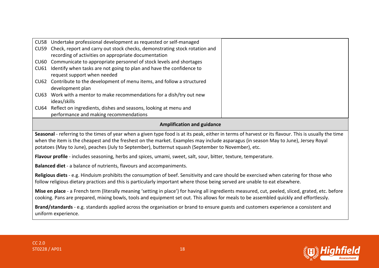|      | CU58 Undertake professional development as requested or self-managed            |
|------|---------------------------------------------------------------------------------|
|      | CU59 Check, report and carry out stock checks, demonstrating stock rotation and |
|      | recording of activities on appropriate documentation                            |
|      | CU60 Communicate to appropriate personnel of stock levels and shortages         |
| CU61 | Identify when tasks are not going to plan and have the confidence to            |
|      | request support when needed                                                     |
|      | CU62 Contribute to the development of menu items, and follow a structured       |
|      | development plan                                                                |
|      | CU63 Work with a mentor to make recommendations for a dish/try out new          |
|      | ideas/skills                                                                    |
|      | CU64 Reflect on ingredients, dishes and seasons, looking at menu and            |
|      | performance and making recommendations                                          |

#### **Amplification and guidance**

**Seasonal** - referring to the times of year when a given type food is at its peak, either in terms of harvest or its flavour. This is usually the time when the item is the cheapest and the freshest on the market. Examples may include asparagus (in season May to June), Jersey Royal potatoes (May to June), peaches (July to September), butternut squash (September to November), etc.

**Flavour profile** - includes seasoning, herbs and spices, umami, sweet, salt, sour, bitter, texture, temperature.

**Balanced diet** - a balance of nutrients, flavours and accompaniments.

**Religious diets** - e.g. Hinduism prohibits the consumption of beef. Sensitivity and care should be exercised when catering for those who follow religious dietary practices and this is particularly important where those being served are unable to eat elsewhere.

**Mise en place** - a French term (literally meaning 'setting in place') for having all ingredients measured, cut, peeled, sliced, grated, etc. before cooking. Pans are prepared, mixing bowls, tools and equipment set out. This allows for meals to be assembled quickly and effortlessly.

**Brand/standards** - e.g. standards applied across the organisation or brand to ensure guests and customers experience a consistent and uniform experience.

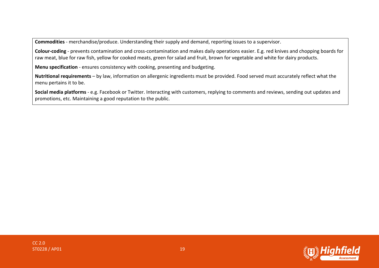**Commodities** - merchandise/produce. Understanding their supply and demand, reporting issues to a supervisor.

**Colour-coding** - prevents contamination and cross-contamination and makes daily operations easier. E.g. red knives and chopping boards for raw meat, blue for raw fish, yellow for cooked meats, green for salad and fruit, brown for vegetable and white for dairy products.

**Menu specification** - ensures consistency with cooking, presenting and budgeting.

**Nutritional requirements** – by law, information on allergenic ingredients must be provided. Food served must accurately reflect what the menu pertains it to be.

**Social media platforms** - e.g. Facebook or Twitter. Interacting with customers, replying to comments and reviews, sending out updates and promotions, etc. Maintaining a good reputation to the public.

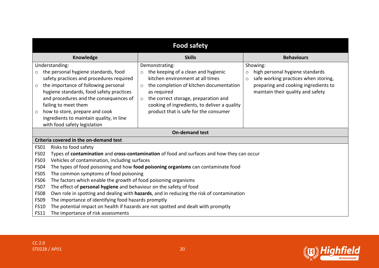| <b>Food safety</b>                                                                                                                                                                                                                                                                                                                                                                                                                                                                                                                                                                                                                                                                                                                                                                                                                                                                                                         |                                                                                   |                   |  |  |
|----------------------------------------------------------------------------------------------------------------------------------------------------------------------------------------------------------------------------------------------------------------------------------------------------------------------------------------------------------------------------------------------------------------------------------------------------------------------------------------------------------------------------------------------------------------------------------------------------------------------------------------------------------------------------------------------------------------------------------------------------------------------------------------------------------------------------------------------------------------------------------------------------------------------------|-----------------------------------------------------------------------------------|-------------------|--|--|
| Knowledge                                                                                                                                                                                                                                                                                                                                                                                                                                                                                                                                                                                                                                                                                                                                                                                                                                                                                                                  | <b>Skills</b>                                                                     | <b>Behaviours</b> |  |  |
| Understanding:<br>Demonstrating:<br>Showing:<br>the personal hygiene standards, food<br>the keeping of a clean and hygienic<br>high personal hygiene standards<br>$\circ$<br>$\circ$<br>$\circ$<br>safety practices and procedures required<br>kitchen environment at all times<br>safe working practices when storing,<br>$\circ$<br>the importance of following personal<br>preparing and cooking ingredients to<br>the completion of kitchen documentation<br>$\circ$<br>$\circ$<br>hygiene standards, food safety practices<br>maintain their quality and safety<br>as required<br>and procedures and the consequences of<br>the correct storage, preparation and<br>$\circ$<br>failing to meet them<br>cooking of ingredients, to deliver a quality<br>product that is safe for the consumer<br>how to store, prepare and cook<br>$\circ$<br>ingredients to maintain quality, in line<br>with food safety legislation |                                                                                   |                   |  |  |
| <b>On-demand test</b>                                                                                                                                                                                                                                                                                                                                                                                                                                                                                                                                                                                                                                                                                                                                                                                                                                                                                                      |                                                                                   |                   |  |  |
| Criteria covered in the on-demand test                                                                                                                                                                                                                                                                                                                                                                                                                                                                                                                                                                                                                                                                                                                                                                                                                                                                                     |                                                                                   |                   |  |  |
| <b>FS01</b><br>Risks to food safety                                                                                                                                                                                                                                                                                                                                                                                                                                                                                                                                                                                                                                                                                                                                                                                                                                                                                        |                                                                                   |                   |  |  |
| <b>FS02</b><br>Types of contamination and cross-contamination of food and surfaces and how they can occur                                                                                                                                                                                                                                                                                                                                                                                                                                                                                                                                                                                                                                                                                                                                                                                                                  |                                                                                   |                   |  |  |
|                                                                                                                                                                                                                                                                                                                                                                                                                                                                                                                                                                                                                                                                                                                                                                                                                                                                                                                            | Vehicles of contamination, including surfaces<br><b>FS03</b>                      |                   |  |  |
| The types of food poisoning and how food poisoning organisms can contaminate food<br><b>FS04</b>                                                                                                                                                                                                                                                                                                                                                                                                                                                                                                                                                                                                                                                                                                                                                                                                                           |                                                                                   |                   |  |  |
| The common symptoms of food poisoning<br><b>FS05</b><br>The factors which enable the growth of food poisoning organisms<br><b>FS06</b>                                                                                                                                                                                                                                                                                                                                                                                                                                                                                                                                                                                                                                                                                                                                                                                     |                                                                                   |                   |  |  |
| The effect of personal hygiene and behaviour on the safety of food<br><b>FS07</b>                                                                                                                                                                                                                                                                                                                                                                                                                                                                                                                                                                                                                                                                                                                                                                                                                                          |                                                                                   |                   |  |  |
| Own role in spotting and dealing with hazards, and in reducing the risk of contamination<br><b>FS08</b>                                                                                                                                                                                                                                                                                                                                                                                                                                                                                                                                                                                                                                                                                                                                                                                                                    |                                                                                   |                   |  |  |
| <b>FS09</b><br>The importance of identifying food hazards promptly                                                                                                                                                                                                                                                                                                                                                                                                                                                                                                                                                                                                                                                                                                                                                                                                                                                         |                                                                                   |                   |  |  |
| <b>FS10</b>                                                                                                                                                                                                                                                                                                                                                                                                                                                                                                                                                                                                                                                                                                                                                                                                                                                                                                                | The potential impact on health if hazards are not spotted and dealt with promptly |                   |  |  |
| The importance of risk assessments<br><b>FS11</b>                                                                                                                                                                                                                                                                                                                                                                                                                                                                                                                                                                                                                                                                                                                                                                                                                                                                          |                                                                                   |                   |  |  |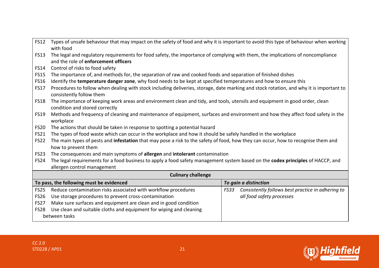| <b>FS12</b> | Types of unsafe behaviour that may impact on the safety of food and why it is important to avoid this type of behaviour when working<br>with food                       |                                                           |  |  |
|-------------|-------------------------------------------------------------------------------------------------------------------------------------------------------------------------|-----------------------------------------------------------|--|--|
| <b>FS13</b> | The legal and regulatory requirements for food safety, the importance of complying with them, the implications of noncompliance<br>and the role of enforcement officers |                                                           |  |  |
| <b>FS14</b> | Control of risks to food safety                                                                                                                                         |                                                           |  |  |
| <b>FS15</b> | The importance of, and methods for, the separation of raw and cooked foods and separation of finished dishes                                                            |                                                           |  |  |
| <b>FS16</b> | Identify the temperature danger zone, why food needs to be kept at specified temperatures and how to ensure this                                                        |                                                           |  |  |
| <b>FS17</b> | Procedures to follow when dealing with stock including deliveries, storage, date marking and stock rotation, and why it is important to<br>consistently follow them     |                                                           |  |  |
| <b>FS18</b> | The importance of keeping work areas and environment clean and tidy, and tools, utensils and equipment in good order, clean<br>condition and stored correctly           |                                                           |  |  |
| <b>FS19</b> | Methods and frequency of cleaning and maintenance of equipment, surfaces and environment and how they affect food safety in the<br>workplace                            |                                                           |  |  |
| <b>FS20</b> | The actions that should be taken in response to spotting a potential hazard                                                                                             |                                                           |  |  |
| <b>FS21</b> | The types of food waste which can occur in the workplace and how it should be safely handled in the workplace                                                           |                                                           |  |  |
| <b>FS22</b> | The main types of pests and infestation that may pose a risk to the safety of food, how they can occur, how to recognise them and                                       |                                                           |  |  |
|             | how to prevent them                                                                                                                                                     |                                                           |  |  |
| <b>FS23</b> | The consequences and main symptoms of allergen and intolerant contamination                                                                                             |                                                           |  |  |
| <b>FS24</b> | The legal requirements for a food business to apply a food safety management system based on the codex principles of HACCP, and                                         |                                                           |  |  |
|             | allergen control management                                                                                                                                             |                                                           |  |  |
|             | <b>Culinary challenge</b>                                                                                                                                               |                                                           |  |  |
|             | To pass, the following must be evidenced                                                                                                                                | To gain a distinction                                     |  |  |
| <b>FS25</b> | Reduce contamination risks associated with workflow procedures                                                                                                          | Consistently follows best practice in adhering to<br>FS33 |  |  |
| <b>FS26</b> | Use storage procedures to prevent cross-contamination<br>all food safety processes                                                                                      |                                                           |  |  |
| <b>FS27</b> | Make sure surfaces and equipment are clean and in good condition                                                                                                        |                                                           |  |  |
| <b>FS28</b> | Use clean and suitable cloths and equipment for wiping and cleaning                                                                                                     |                                                           |  |  |
|             | between tasks                                                                                                                                                           |                                                           |  |  |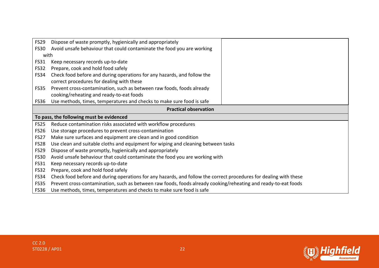| <b>FS29</b>      | Dispose of waste promptly, hygienically and appropriately                                                         |  |  |  |
|------------------|-------------------------------------------------------------------------------------------------------------------|--|--|--|
| <b>FS30</b>      | Avoid unsafe behaviour that could contaminate the food you are working                                            |  |  |  |
| with             |                                                                                                                   |  |  |  |
| FS31             | Keep necessary records up-to-date                                                                                 |  |  |  |
| <b>FS32</b>      | Prepare, cook and hold food safely                                                                                |  |  |  |
| <b>FS34</b>      | Check food before and during operations for any hazards, and follow the                                           |  |  |  |
|                  | correct procedures for dealing with these                                                                         |  |  |  |
| FS35             | Prevent cross-contamination, such as between raw foods, foods already                                             |  |  |  |
|                  | cooking/reheating and ready-to-eat foods                                                                          |  |  |  |
| FS36             | Use methods, times, temperatures and checks to make sure food is safe                                             |  |  |  |
|                  | <b>Practical observation</b>                                                                                      |  |  |  |
|                  | To pass, the following must be evidenced                                                                          |  |  |  |
| FS <sub>25</sub> | Reduce contamination risks associated with workflow procedures                                                    |  |  |  |
| <b>FS26</b>      | Use storage procedures to prevent cross-contamination                                                             |  |  |  |
| <b>FS27</b>      | Make sure surfaces and equipment are clean and in good condition                                                  |  |  |  |
| <b>FS28</b>      | Use clean and suitable cloths and equipment for wiping and cleaning between tasks                                 |  |  |  |
| <b>FS29</b>      | Dispose of waste promptly, hygienically and appropriately                                                         |  |  |  |
| <b>FS30</b>      | Avoid unsafe behaviour that could contaminate the food you are working with                                       |  |  |  |
| <b>FS31</b>      | Keep necessary records up-to-date                                                                                 |  |  |  |
| <b>FS32</b>      | Prepare, cook and hold food safely                                                                                |  |  |  |
| FS34             | Check food before and during operations for any hazards, and follow the correct procedures for dealing with these |  |  |  |
| <b>FS35</b>      | Prevent cross-contamination, such as between raw foods, foods already cooking/reheating and ready-to-eat foods    |  |  |  |
| <b>FS36</b>      | Use methods, times, temperatures and checks to make sure food is safe                                             |  |  |  |

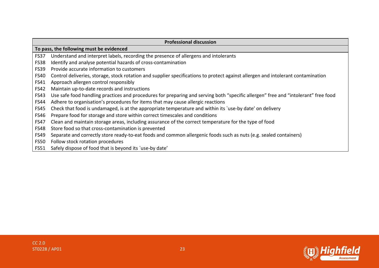| <b>Professional discussion</b> |                                                                                                                                    |  |  |
|--------------------------------|------------------------------------------------------------------------------------------------------------------------------------|--|--|
|                                | To pass, the following must be evidenced                                                                                           |  |  |
| <b>FS37</b>                    | Understand and interpret labels, recording the presence of allergens and intolerants                                               |  |  |
| <b>FS38</b>                    | Identify and analyse potential hazards of cross-contamination                                                                      |  |  |
| <b>FS39</b>                    | Provide accurate information to customers                                                                                          |  |  |
| <b>FS40</b>                    | Control deliveries, storage, stock rotation and supplier specifications to protect against allergen and intolerant contamination   |  |  |
| <b>FS41</b>                    | Approach allergen control responsibly                                                                                              |  |  |
| <b>FS42</b>                    | Maintain up-to-date records and instructions                                                                                       |  |  |
| <b>FS43</b>                    | Use safe food handling practices and procedures for preparing and serving both "specific allergen" free and "intolerant" free food |  |  |
| <b>FS44</b>                    | Adhere to organisation's procedures for items that may cause allergic reactions                                                    |  |  |
| <b>FS45</b>                    | Check that food is undamaged, is at the appropriate temperature and within its 'use-by date' on delivery                           |  |  |
| <b>FS46</b>                    | Prepare food for storage and store within correct timescales and conditions                                                        |  |  |
| <b>FS47</b>                    | Clean and maintain storage areas, including assurance of the correct temperature for the type of food                              |  |  |
| <b>FS48</b>                    | Store food so that cross-contamination is prevented                                                                                |  |  |
| <b>FS49</b>                    | Separate and correctly store ready-to-eat foods and common allergenic foods such as nuts (e.g. sealed containers)                  |  |  |
| <b>FS50</b>                    | Follow stock rotation procedures                                                                                                   |  |  |
| <b>FS51</b>                    | Safely dispose of food that is beyond its 'use-by date'                                                                            |  |  |

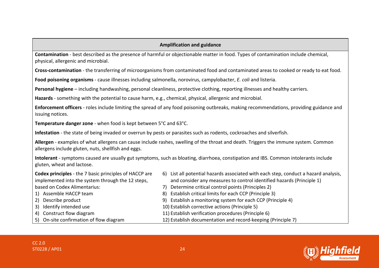#### **Amplification and guidance**

**Contamination** - best described as the presence of harmful or objectionable matter in food. Types of contamination include chemical, physical, allergenic and microbial.

**Cross-contamination** - the transferring of microorganisms from contaminated food and contaminated areas to cooked or ready to eat food.

**Food poisoning organisms** - cause illnesses including salmonella, norovirus, campylobacter, *E. coli* and listeria.

**Personal hygiene** – including handwashing, personal cleanliness, protective clothing, reporting illnesses and healthy carriers.

**Hazards** - something with the potential to cause harm, e.g., chemical, physical, allergenic and microbial.

**Enforcement officers** - roles include limiting the spread of any food poisoning outbreaks, making recommendations, providing guidance and issuing notices.

**Temperature danger zone** - when food is kept between 5°C and 63°C.

**Infestation** - the state of being invaded or overrun by pests or parasites such as rodents, cockroaches and silverfish.

**Allergen** - examples of what allergens can cause include rashes, swelling of the throat and death. Triggers the immune system. Common allergens include gluten, nuts, shellfish and eggs.

**Intolerant** - symptoms caused are usually gut symptoms, such as bloating, diarrhoea, constipation and IBS. Common intolerants include gluten, wheat and lactose.

| <b>Codex principles</b> - the 7 basic principles of HACCP are | 6) List all potential hazards associated with each step, conduct a hazard analysis, |
|---------------------------------------------------------------|-------------------------------------------------------------------------------------|
| implemented into the system through the 12 steps,             | and consider any measures to control identified hazards (Principle 1)               |
| based on Codex Alimentarius:                                  | 7) Determine critical control points (Principles 2)                                 |
| 1) Assemble HACCP team                                        | 8) Establish critical limits for each CCP (Principle 3)                             |
| 2) Describe product                                           | 9) Establish a monitoring system for each CCP (Principle 4)                         |
| 3) Identify intended use                                      | 10) Establish corrective actions (Principle 5)                                      |
| 4) Construct flow diagram                                     | 11) Establish verification procedures (Principle 6)                                 |
| 5) On-site confirmation of flow diagram                       | 12) Establish documentation and record-keeping (Principle 7)                        |



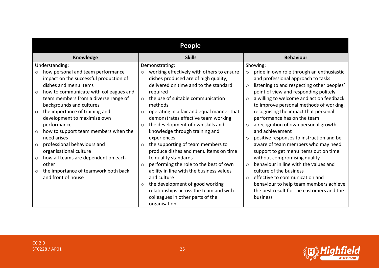| <b>People</b>                                                                                                                                                                                                                                                                                                                                                                                                                                                                               |                                                                                                                                                                                                                                                                                                                                                                                                                                                                                                                         |                                                                                                                                                                                                                                                                                                                                                                                                                                                                                                                                                                                               |  |  |  |
|---------------------------------------------------------------------------------------------------------------------------------------------------------------------------------------------------------------------------------------------------------------------------------------------------------------------------------------------------------------------------------------------------------------------------------------------------------------------------------------------|-------------------------------------------------------------------------------------------------------------------------------------------------------------------------------------------------------------------------------------------------------------------------------------------------------------------------------------------------------------------------------------------------------------------------------------------------------------------------------------------------------------------------|-----------------------------------------------------------------------------------------------------------------------------------------------------------------------------------------------------------------------------------------------------------------------------------------------------------------------------------------------------------------------------------------------------------------------------------------------------------------------------------------------------------------------------------------------------------------------------------------------|--|--|--|
| Knowledge                                                                                                                                                                                                                                                                                                                                                                                                                                                                                   | <b>Skills</b>                                                                                                                                                                                                                                                                                                                                                                                                                                                                                                           | <b>Behaviour</b>                                                                                                                                                                                                                                                                                                                                                                                                                                                                                                                                                                              |  |  |  |
| Understanding:<br>how personal and team performance<br>$\circ$<br>impact on the successful production of<br>dishes and menu items<br>how to communicate with colleagues and<br>$\circ$<br>team members from a diverse range of<br>backgrounds and cultures<br>the importance of training and<br>$\circ$<br>development to maximise own<br>performance<br>how to support team members when the<br>$\circ$<br>need arises<br>professional behaviours and<br>$\circ$<br>organisational culture | Demonstrating:<br>working effectively with others to ensure<br>$\circ$<br>dishes produced are of high quality,<br>delivered on time and to the standard<br>required<br>the use of suitable communication<br>$\circ$<br>methods<br>operating in a fair and equal manner that<br>$\circ$<br>demonstrates effective team working<br>the development of own skills and<br>$\circ$<br>knowledge through training and<br>experiences<br>the supporting of team members to<br>$\circ$<br>produce dishes and menu items on time | Showing:<br>pride in own role through an enthusiastic<br>$\circ$<br>and professional approach to tasks<br>listening to and respecting other peoples'<br>$\circ$<br>point of view and responding politely<br>a willing to welcome and act on feedback<br>$\circ$<br>to improve personal methods of working,<br>recognising the impact that personal<br>performance has on the team<br>a recognition of own personal growth<br>$\circ$<br>and achievement<br>positive responses to instruction and be<br>$\circ$<br>aware of team members who may need<br>support to get menu items out on time |  |  |  |
| how all teams are dependent on each<br>$\circ$<br>other<br>the importance of teamwork both back<br>$\circ$<br>and front of house                                                                                                                                                                                                                                                                                                                                                            | to quality standards<br>performing the role to the best of own<br>$\circ$<br>ability in line with the business values<br>and culture<br>the development of good working<br>$\circ$<br>relationships across the team and with<br>colleagues in other parts of the<br>organisation                                                                                                                                                                                                                                        | without compromising quality<br>behaviour in line with the values and<br>$\bigcirc$<br>culture of the business<br>effective to communication and<br>$\bigcirc$<br>behaviour to help team members achieve<br>the best result for the customers and the<br>business                                                                                                                                                                                                                                                                                                                             |  |  |  |

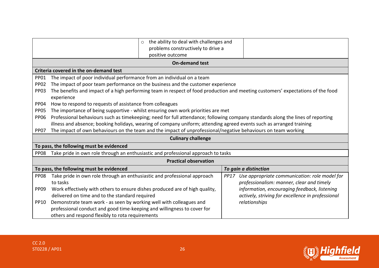|                                                                                                                                   | the ability to deal with challenges and<br>$\circ$<br>problems constructively to drive a                                        |                                                       |  |  |  |
|-----------------------------------------------------------------------------------------------------------------------------------|---------------------------------------------------------------------------------------------------------------------------------|-------------------------------------------------------|--|--|--|
|                                                                                                                                   | positive outcome                                                                                                                |                                                       |  |  |  |
|                                                                                                                                   | <b>On-demand test</b>                                                                                                           |                                                       |  |  |  |
|                                                                                                                                   | Criteria covered in the on-demand test                                                                                          |                                                       |  |  |  |
| <b>PP01</b>                                                                                                                       | The impact of poor individual performance from an individual on a team                                                          |                                                       |  |  |  |
| <b>PP02</b>                                                                                                                       | The impact of poor team performance on the business and the customer experience                                                 |                                                       |  |  |  |
| <b>PP03</b>                                                                                                                       | The benefits and impact of a high performing team in respect of food production and meeting customers' expectations of the food |                                                       |  |  |  |
|                                                                                                                                   | experience                                                                                                                      |                                                       |  |  |  |
| PP04                                                                                                                              | How to respond to requests of assistance from colleagues                                                                        |                                                       |  |  |  |
| <b>PP05</b>                                                                                                                       | The importance of being supportive - whilst ensuring own work priorities are met                                                |                                                       |  |  |  |
| <b>PP06</b>                                                                                                                       | Professional behaviours such as timekeeping; need for full attendance; following company standards along the lines of reporting |                                                       |  |  |  |
|                                                                                                                                   | illness and absence; booking holidays, wearing of company uniform; attending agreed events such as arranged training            |                                                       |  |  |  |
| The impact of own behaviours on the team and the impact of unprofessional/negative behaviours on team working<br>PP <sub>07</sub> |                                                                                                                                 |                                                       |  |  |  |
| <b>Culinary challenge</b>                                                                                                         |                                                                                                                                 |                                                       |  |  |  |
|                                                                                                                                   | To pass, the following must be evidenced                                                                                        |                                                       |  |  |  |
| <b>PP08</b>                                                                                                                       | Take pride in own role through an enthusiastic and professional approach to tasks                                               |                                                       |  |  |  |
|                                                                                                                                   | <b>Practical observation</b>                                                                                                    |                                                       |  |  |  |
|                                                                                                                                   | To pass, the following must be evidenced                                                                                        | To gain a distinction                                 |  |  |  |
| <b>PP08</b>                                                                                                                       | Take pride in own role through an enthusiastic and professional approach                                                        | Use appropriate communication: role model for<br>PP17 |  |  |  |
|                                                                                                                                   | professionalism: manner, clear and timely<br>to tasks                                                                           |                                                       |  |  |  |
| <b>PP09</b>                                                                                                                       | Work effectively with others to ensure dishes produced are of high quality,                                                     | information, encouraging feedback, listening          |  |  |  |
|                                                                                                                                   | delivered on time and to the standard required                                                                                  | actively, striving for excellence in professional     |  |  |  |
| <b>PP10</b>                                                                                                                       | Demonstrate team work - as seen by working well with colleagues and                                                             | relationships                                         |  |  |  |
|                                                                                                                                   | professional conduct and good time-keeping and willingness to cover for                                                         |                                                       |  |  |  |
|                                                                                                                                   | others and respond flexibly to rota requirements                                                                                |                                                       |  |  |  |

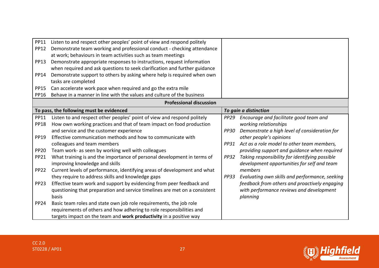| <b>PP11</b>      | Listen to and respect other peoples' point of view and respond politely    |             |                                                |
|------------------|----------------------------------------------------------------------------|-------------|------------------------------------------------|
| <b>PP12</b>      | Demonstrate team working and professional conduct - checking attendance    |             |                                                |
|                  | at work; behaviours in team activities such as team meetings               |             |                                                |
| <b>PP13</b>      | Demonstrate appropriate responses to instructions, request information     |             |                                                |
|                  | when required and ask questions to seek clarification and further guidance |             |                                                |
| PP14             | Demonstrate support to others by asking where help is required when own    |             |                                                |
|                  | tasks are completed                                                        |             |                                                |
| <b>PP15</b>      | Can accelerate work pace when required and go the extra mile               |             |                                                |
| <b>PP16</b>      | Behave in a manner in line with the values and culture of the business     |             |                                                |
|                  | <b>Professional discussion</b>                                             |             |                                                |
|                  | To pass, the following must be evidenced                                   |             | To gain a distinction                          |
| <b>PP11</b>      | Listen to and respect other peoples' point of view and respond politely    | <b>PP29</b> | Encourage and facilitate good team and         |
| <b>PP18</b>      | How own working practices and that of team impact on food production       |             | working relationships                          |
|                  | and service and the customer experience                                    | <b>PP30</b> | Demonstrate a high level of consideration for  |
| <b>PP19</b>      | Effective communication methods and how to communicate with                |             | other people's opinions                        |
|                  | colleagues and team members                                                | PP31        | Act as a role model to other team members,     |
| <b>PP20</b>      | Team work- as seen by working well with colleagues                         |             | providing support and guidance when required   |
| <b>PP21</b>      | What training is and the importance of personal development in terms of    | <b>PP32</b> | Taking responsibility for identifying possible |
|                  | improving knowledge and skills                                             |             | development opportunities for self and team    |
| <b>PP22</b>      | Current levels of performance, identifying areas of development and what   |             | members                                        |
|                  | they require to address skills and knowledge gaps                          | <b>PP33</b> | Evaluating own skills and performance, seeking |
| PP <sub>23</sub> | Effective team work and support by evidencing from peer feedback and       |             | feedback from others and proactively engaging  |
|                  | questioning that preparation and service timelines are met on a consistent |             | with performance reviews and development       |
|                  | basis                                                                      |             | planning                                       |
| <b>PP24</b>      | Basic team roles and state own job role requirements, the job role         |             |                                                |
|                  | requirements of others and how adhering to role responsibilities and       |             |                                                |
|                  | targets impact on the team and work productivity in a positive way         |             |                                                |

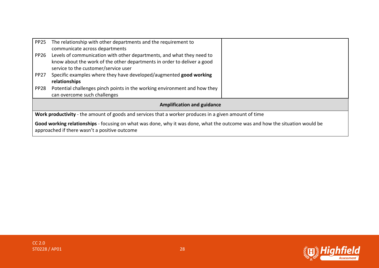| The relationship with other departments and the requirement to                                                                                                                |                                                                                                       |  |  |
|-------------------------------------------------------------------------------------------------------------------------------------------------------------------------------|-------------------------------------------------------------------------------------------------------|--|--|
| communicate across departments                                                                                                                                                |                                                                                                       |  |  |
| Levels of communication with other departments, and what they need to                                                                                                         |                                                                                                       |  |  |
| know about the work of the other departments in order to deliver a good                                                                                                       |                                                                                                       |  |  |
| service to the customer/service user                                                                                                                                          |                                                                                                       |  |  |
| Specific examples where they have developed/augmented good working                                                                                                            |                                                                                                       |  |  |
| relationships                                                                                                                                                                 |                                                                                                       |  |  |
| Potential challenges pinch points in the working environment and how they                                                                                                     |                                                                                                       |  |  |
| can overcome such challenges                                                                                                                                                  |                                                                                                       |  |  |
| <b>Amplification and guidance</b>                                                                                                                                             |                                                                                                       |  |  |
|                                                                                                                                                                               |                                                                                                       |  |  |
|                                                                                                                                                                               |                                                                                                       |  |  |
| Good working relationships - focusing on what was done, why it was done, what the outcome was and how the situation would be<br>approached if there wasn't a positive outcome |                                                                                                       |  |  |
|                                                                                                                                                                               | Work productivity - the amount of goods and services that a worker produces in a given amount of time |  |  |

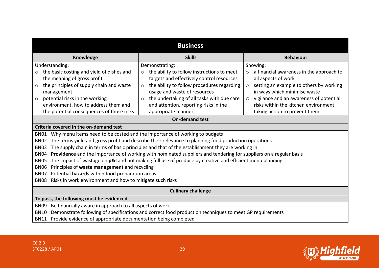| <b>Business</b>                                                                                                                 |                                                                                                         |                                                     |  |  |  |  |
|---------------------------------------------------------------------------------------------------------------------------------|---------------------------------------------------------------------------------------------------------|-----------------------------------------------------|--|--|--|--|
| Knowledge<br><b>Skills</b><br><b>Behaviour</b>                                                                                  |                                                                                                         |                                                     |  |  |  |  |
| Understanding:                                                                                                                  | Demonstrating:                                                                                          | Showing:                                            |  |  |  |  |
| the basic costing and yield of dishes and<br>$\circ$                                                                            | the ability to follow instructions to meet<br>$\circ$                                                   | a financial awareness in the approach to<br>$\circ$ |  |  |  |  |
| the meaning of gross profit                                                                                                     | targets and effectively control resources                                                               | all aspects of work                                 |  |  |  |  |
| the principles of supply chain and waste<br>$\circ$                                                                             | the ability to follow procedures regarding<br>$\circ$                                                   | setting an example to others by working<br>$\circ$  |  |  |  |  |
| management                                                                                                                      | usage and waste of resources                                                                            | in ways which minimise waste                        |  |  |  |  |
| potential risks in the working<br>O                                                                                             | the undertaking of all tasks with due care<br>$\circ$                                                   | vigilance and an awareness of potential<br>$\circ$  |  |  |  |  |
| environment, how to address them and                                                                                            | and attention, reporting risks in the                                                                   | risks within the kitchen environment,               |  |  |  |  |
| the potential consequences of those risks                                                                                       | appropriate manner                                                                                      | taking action to prevent them                       |  |  |  |  |
|                                                                                                                                 | <b>On-demand test</b>                                                                                   |                                                     |  |  |  |  |
| Criteria covered in the on-demand test                                                                                          |                                                                                                         |                                                     |  |  |  |  |
| Why menu items need to be costed and the importance of working to budgets<br>BN01                                               |                                                                                                         |                                                     |  |  |  |  |
| The terms yield and gross profit and describe their relevance to planning food production operations<br><b>BN02</b>             |                                                                                                         |                                                     |  |  |  |  |
| The supply chain in terms of basic principles and that of the establishment they are working in<br><b>BN03</b>                  |                                                                                                         |                                                     |  |  |  |  |
| Providence and the importance of working with nominated suppliers and tendering for suppliers on a regular basis<br><b>BN04</b> |                                                                                                         |                                                     |  |  |  |  |
| <b>BN05</b>                                                                                                                     | The impact of wastage on p&I and not making full use of produce by creative and efficient menu planning |                                                     |  |  |  |  |
| Principles of waste management and recycling<br><b>BN06</b>                                                                     |                                                                                                         |                                                     |  |  |  |  |
| <b>BN07</b>                                                                                                                     | Potential hazards within food preparation areas                                                         |                                                     |  |  |  |  |
| Risks in work environment and how to mitigate such risks<br><b>BN08</b>                                                         |                                                                                                         |                                                     |  |  |  |  |
| <b>Culinary challenge</b>                                                                                                       |                                                                                                         |                                                     |  |  |  |  |
| To pass, the following must be evidenced                                                                                        |                                                                                                         |                                                     |  |  |  |  |
| Be financially aware in approach to all aspects of work<br><b>BN09</b>                                                          |                                                                                                         |                                                     |  |  |  |  |
| Demonstrate following of specifications and correct food production techniques to meet GP requirements<br><b>BN10</b>           |                                                                                                         |                                                     |  |  |  |  |
| BN11 Provide evidence of appropriate documentation being completed                                                              |                                                                                                         |                                                     |  |  |  |  |

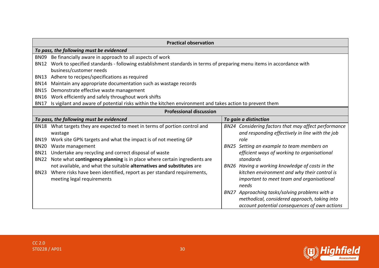| <b>Practical observation</b>             |                                                                                                                     |      |                                                 |
|------------------------------------------|---------------------------------------------------------------------------------------------------------------------|------|-------------------------------------------------|
| To pass, the following must be evidenced |                                                                                                                     |      |                                                 |
| <b>BN09</b>                              | Be financially aware in approach to all aspects of work                                                             |      |                                                 |
| BN12                                     | Work to specified standards - following establishment standards in terms of preparing menu items in accordance with |      |                                                 |
|                                          | business/customer needs                                                                                             |      |                                                 |
| BN13                                     | Adhere to recipes/specifications as required                                                                        |      |                                                 |
| <b>BN14</b>                              | Maintain any appropriate documentation such as wastage records                                                      |      |                                                 |
| <b>BN15</b>                              | Demonstrate effective waste management                                                                              |      |                                                 |
| <b>BN16</b>                              | Work efficiently and safely throughout work shifts                                                                  |      |                                                 |
| <b>BN17</b>                              | Is vigilant and aware of potential risks within the kitchen environment and takes action to prevent them            |      |                                                 |
|                                          | <b>Professional discussion</b>                                                                                      |      |                                                 |
|                                          | To pass, the following must be evidenced                                                                            |      | To gain a distinction                           |
| <b>BN18</b>                              | What targets they are expected to meet in terms of portion control and                                              | BN24 | Considering factors that may affect performance |
|                                          | wastage                                                                                                             |      | and responding effectively in line with the job |
| <b>BN19</b>                              | Work site GP% targets and what the impact is of not meeting GP                                                      |      | role                                            |
| <b>BN20</b>                              | Waste management                                                                                                    |      | BN25 Setting an example to team members on      |
| <b>BN21</b>                              | Undertake any recycling and correct disposal of waste                                                               |      | efficient ways of working to organisational     |
| <b>BN22</b>                              | Note what contingency planning is in place where certain ingredients are                                            |      | standards                                       |
|                                          | not available, and what the suitable alternatives and substitutes are                                               |      | BN26 Having a working knowledge of costs in the |
| <b>BN23</b>                              | Where risks have been identified, report as per standard requirements,                                              |      | kitchen environment and why their control is    |
|                                          | meeting legal requirements                                                                                          |      | important to meet team and organisational       |
|                                          |                                                                                                                     |      | needs                                           |
|                                          |                                                                                                                     |      | BN27 Approaching tasks/solving problems with a  |
|                                          |                                                                                                                     |      | methodical, considered approach, taking into    |
|                                          |                                                                                                                     |      | account potential consequences of own actions   |

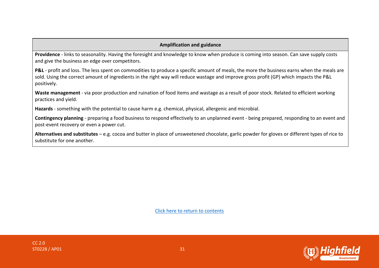#### **Amplification and guidance**

**Providence** - links to seasonality. Having the foresight and knowledge to know when produce is coming into season. Can save supply costs and give the business an edge over competitors.

**P&L** - profit and loss. The less spent on commodities to produce a specific amount of meals, the more the business earns when the meals are sold. Using the correct amount of ingredients in the right way will reduce wastage and improve gross profit (GP) which impacts the P&L positively.

**Waste management** - via poor production and ruination of food items and wastage as a result of poor stock. Related to efficient working practices and yield.

**Hazards** - something with the potential to cause harm e.g. chemical, physical, allergenic and microbial.

**Contingency planning** - preparing a food business to respond effectively to an unplanned event - being prepared, responding to an event and post-event recovery or even a power cut.

**Alternatives and substitutes** – e.g. cocoa and butter in place of unsweetened chocolate, garlic powder for gloves or different types of rice to substitute for one another.



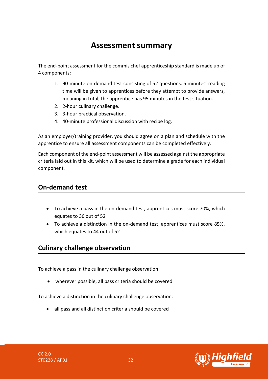# **Assessment summary**

<span id="page-31-0"></span>The end-point assessment for the commis chef apprenticeship standard is made up of 4 components:

- 1. 90-minute on-demand test consisting of 52 questions. 5 minutes' reading time will be given to apprentices before they attempt to provide answers, meaning in total, the apprentice has 95 minutes in the test situation.
- 2. 2-hour culinary challenge.
- 3. 3-hour practical observation.
- 4. 40-minute professional discussion with recipe log.

As an employer/training provider, you should agree on a plan and schedule with the apprentice to ensure all assessment components can be completed effectively.

Each component of the end-point assessment will be assessed against the appropriate criteria laid out in this kit, which will be used to determine a grade for each individual component.

## **On-demand test**

- To achieve a pass in the on-demand test, apprentices must score 70%, which equates to 36 out of 52
- To achieve a distinction in the on-demand test, apprentices must score 85%, which equates to 44 out of 52

## **Culinary challenge observation**

To achieve a pass in the culinary challenge observation:

• wherever possible, all pass criteria should be covered

To achieve a distinction in the culinary challenge observation:

• all pass and all distinction criteria should be covered

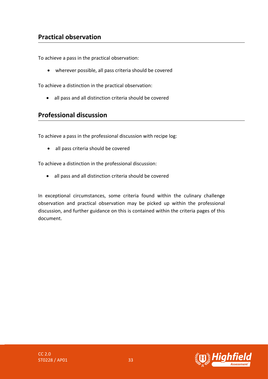# **Practical observation**

To achieve a pass in the practical observation:

• wherever possible, all pass criteria should be covered

To achieve a distinction in the practical observation:

• all pass and all distinction criteria should be covered

#### **Professional discussion**

To achieve a pass in the professional discussion with recipe log:

• all pass criteria should be covered

To achieve a distinction in the professional discussion:

• all pass and all distinction criteria should be covered

In exceptional circumstances, some criteria found within the culinary challenge observation and practical observation may be picked up within the professional discussion, and further guidance on this is contained within the criteria pages of this document.

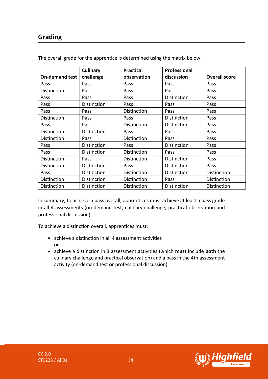# **Grading**

|                       | Culinary    | <b>Practical</b> | Professional |                      |
|-----------------------|-------------|------------------|--------------|----------------------|
| <b>On-demand test</b> | challenge   | observation      | discussion   | <b>Overall score</b> |
| Pass                  | Pass        | Pass             | Pass         | Pass                 |
| Distinction           | Pass        | Pass             | Pass         | Pass                 |
| Pass                  | Pass        | Pass             | Distinction  | Pass                 |
| Pass                  | Distinction | Pass             | Pass         | Pass                 |
| Pass                  | Pass        | Distinction      | Pass         | Pass                 |
| Distinction           | Pass        | Pass             | Distinction  | Pass                 |
| Pass                  | Pass        | Distinction      | Distinction  | Pass                 |
| Distinction           | Distinction | Pass             | Pass         | Pass                 |
| Distinction           | Pass        | Distinction      | Pass         | Pass                 |
| Pass                  | Distinction | Pass             | Distinction  | Pass                 |
| Pass                  | Distinction | Distinction      | Pass         | Pass                 |
| Distinction           | Pass        | Distinction      | Distinction  | Pass                 |
| Distinction           | Distinction | Pass             | Distinction  | Pass                 |
| Pass                  | Distinction | Distinction      | Distinction  | Distinction          |
| Distinction           | Distinction | Distinction      | Pass         | Distinction          |
| Distinction           | Distinction | Distinction      | Distinction  | Distinction          |

The overall grade for the apprentice is determined using the matrix below:

In summary, to achieve a pass overall, apprentices must achieve at least a pass grade in all 4 assessments (on-demand test, culinary challenge, practical observation and professional discussion).

To achieve a distinction overall, apprentices must:

- achieve a distinction in all 4 assessment activities **or**
- achieve a distinction in 3 assessment activities (which **must** include **both** the culinary challenge and practical observation) and a pass in the 4th assessment activity (on-demand test **or** professional discussion)

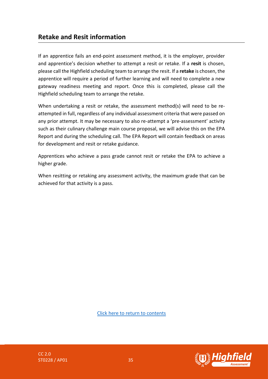## **Retake and Resit information**

If an apprentice fails an end-point assessment method, it is the employer, provider and apprentice's decision whether to attempt a resit or retake. If a **resit** is chosen, please call the Highfield scheduling team to arrange the resit. If a **retake** is chosen, the apprentice will require a period of further learning and will need to complete a new gateway readiness meeting and report. Once this is completed, please call the Highfield scheduling team to arrange the retake.

When undertaking a resit or retake, the assessment method(s) will need to be reattempted in full, regardless of any individual assessment criteria that were passed on any prior attempt. It may be necessary to also re-attempt a 'pre-assessment' activity such as their culinary challenge main course proposal, we will advise this on the EPA Report and during the scheduling call. The EPA Report will contain feedback on areas for development and resit or retake guidance.

Apprentices who achieve a pass grade cannot resit or retake the EPA to achieve a higher grade.

When resitting or retaking any assessment activity, the maximum grade that can be achieved for that activity is a pass.



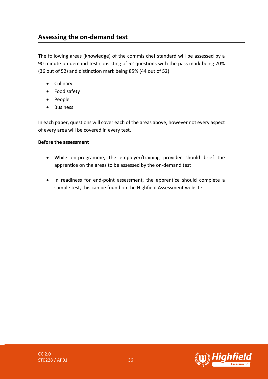# <span id="page-35-0"></span>**Assessing the on-demand test**

The following areas (knowledge) of the commis chef standard will be assessed by a 90-minute on-demand test consisting of 52 questions with the pass mark being 70% (36 out of 52) and distinction mark being 85% (44 out of 52).

- Culinary
- Food safety
- People
- Business

In each paper, questions will cover each of the areas above, however not every aspect of every area will be covered in every test.

#### **Before the assessment**

- While on-programme, the employer/training provider should brief the apprentice on the areas to be assessed by the on-demand test
- In readiness for end-point assessment, the apprentice should complete a sample test, this can be found on the Highfield Assessment website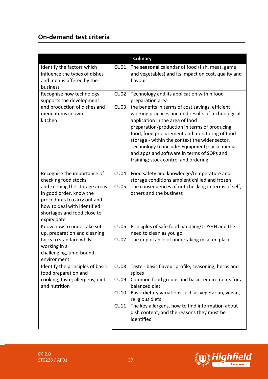# **On-demand test criteria**

|                                                                                                                                                                                                                             |                                                 | <b>Culinary</b>                                                                                                                                                                                                                                                                                                                                                                                                                                                                                        |
|-----------------------------------------------------------------------------------------------------------------------------------------------------------------------------------------------------------------------------|-------------------------------------------------|--------------------------------------------------------------------------------------------------------------------------------------------------------------------------------------------------------------------------------------------------------------------------------------------------------------------------------------------------------------------------------------------------------------------------------------------------------------------------------------------------------|
| Identify the factors which<br>influence the types of dishes<br>and menus offered by the<br>business                                                                                                                         | C <sub>U01</sub>                                | The seasonal calendar of food (fish, meat, game<br>and vegetables) and its impact on cost, quality and<br>flavour                                                                                                                                                                                                                                                                                                                                                                                      |
| Recognise how technology<br>supports the development<br>and production of dishes and<br>menu items in own<br>kitchen                                                                                                        | <b>CU02</b><br><b>CU03</b>                      | Technology and its application within food<br>preparation area<br>the benefits in terms of cost savings, efficient<br>working practices and end results of technological<br>application in the area of food<br>preparation/production in terms of producing<br>food, food procurement and monitoring of food<br>storage - within the context the wider sector.<br>Technology to include: Equipment; social media<br>and apps and software in terms of SOPs and<br>training; stock control and ordering |
| Recognise the importance of<br>checking food stocks<br>and keeping the storage areas<br>in good order, know the<br>procedures to carry out and<br>how to deal with identified<br>shortages and food close to<br>expiry date | <b>CU04</b><br><b>CU05</b>                      | Food safety and knowledge/temperature and<br>storage conditions ambient chilled and frozen<br>The consequences of not checking in terms of self,<br>others and the business                                                                                                                                                                                                                                                                                                                            |
| Know how to undertake set<br>up, preparation and cleaning<br>tasks to standard whilst<br>working in a<br>challenging, time-bound<br>environment                                                                             | <b>CU06</b><br><b>CU07</b>                      | Principles of safe food handling/COSHH and the<br>need to clean as you go<br>The importance of undertaking mise-en place                                                                                                                                                                                                                                                                                                                                                                               |
| Identify the principles of basic<br>food preparation and<br>cooking; taste; allergens; diet<br>and nutrition                                                                                                                | CU <sub>08</sub><br><b>CU09</b><br>CU10<br>CU11 | Taste - basic flavour profile, seasoning, herbs and<br>spices<br>Common food groups and basic requirements for a<br>balanced diet<br>Basic dietary variations such as vegetarian, vegan,<br>religious diets<br>The key allergens, how to find information about<br>dish content, and the reasons they must be<br>identified                                                                                                                                                                            |

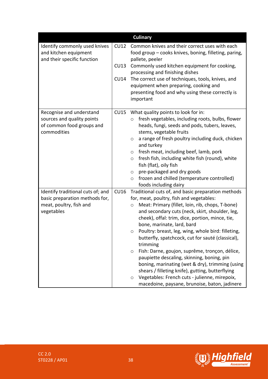|                                                                                                    |      | <b>Culinary</b>                                                                                                                                                                                                                                             |
|----------------------------------------------------------------------------------------------------|------|-------------------------------------------------------------------------------------------------------------------------------------------------------------------------------------------------------------------------------------------------------------|
| Identify commonly used knives<br>and kitchen equipment<br>and their specific function              | CU12 | Common knives and their correct uses with each<br>food group - cooks knives, boning, filleting, paring,<br>pallete, peeler                                                                                                                                  |
|                                                                                                    | CU13 | Commonly used kitchen equipment for cooking,<br>processing and finishing dishes                                                                                                                                                                             |
|                                                                                                    | CU14 | The correct use of techniques, tools, knives, and                                                                                                                                                                                                           |
|                                                                                                    |      | equipment when preparing, cooking and<br>presenting food and why using these correctly is<br>important                                                                                                                                                      |
| Recognise and understand<br>sources and quality points<br>of common food groups and<br>commodities | CU15 | What quality points to look for in:<br>fresh vegetables, including roots, bulbs, flower<br>$\circ$<br>heads, fungi, seeds and pods, tubers, leaves,<br>stems, vegetable fruits<br>a range of fresh poultry including duck, chicken<br>$\circ$<br>and turkey |
|                                                                                                    |      | fresh meat, including beef, lamb, pork<br>$\circ$<br>fresh fish, including white fish (round), white<br>$\circ$<br>fish (flat), oily fish                                                                                                                   |
|                                                                                                    |      | pre-packaged and dry goods<br>$\circ$<br>frozen and chilled (temperature controlled)<br>$\circ$<br>foods including dairy                                                                                                                                    |
| Identify traditional cuts of; and                                                                  | CU16 | Traditional cuts of, and basic preparation methods                                                                                                                                                                                                          |
| basic preparation methods for,                                                                     |      | for, meat, poultry, fish and vegetables:                                                                                                                                                                                                                    |
| meat, poultry, fish and<br>vegetables                                                              |      | Meat: Primary (fillet, loin, rib, chops, T-bone)<br>$\circ$<br>and secondary cuts (neck, skirt, shoulder, leg,<br>cheek), offal: trim, dice, portion, mince, tie,<br>bone, marinate, lard, bard                                                             |
|                                                                                                    |      | Poultry: breast, leg, wing, whole bird: filleting,<br>$\circ$<br>butterfly, spatchcock, cut for sauté (classical),<br>trimming                                                                                                                              |
|                                                                                                    |      | Fish: Darne, goujon, suprême, tronçon, délice,<br>O<br>paupiette descaling, skinning, boning, pin<br>boning, marinating (wet & dry), trimming (using<br>shears / filleting knife), gutting, butterflying                                                    |
|                                                                                                    |      | Vegetables: French cuts - julienne, mirepoix,<br>$\circ$<br>macedoine, paysane, brunoise, baton, jadinere                                                                                                                                                   |

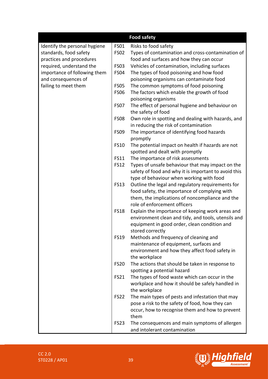|                               |             | <b>Food safety</b>                                   |
|-------------------------------|-------------|------------------------------------------------------|
| Identify the personal hygiene | <b>FS01</b> | Risks to food safety                                 |
| standards, food safety        | <b>FS02</b> | Types of contamination and cross-contamination of    |
| practices and procedures      |             | food and surfaces and how they can occur             |
| required, understand the      | <b>FS03</b> | Vehicles of contamination, including surfaces        |
| importance of following them  | <b>FS04</b> | The types of food poisoning and how food             |
| and consequences of           |             | poisoning organisms can contaminate food             |
| failing to meet them          | <b>FS05</b> | The common symptoms of food poisoning                |
|                               | <b>FS06</b> | The factors which enable the growth of food          |
|                               |             | poisoning organisms                                  |
|                               | <b>FS07</b> | The effect of personal hygiene and behaviour on      |
|                               |             | the safety of food                                   |
|                               | <b>FS08</b> | Own role in spotting and dealing with hazards, and   |
|                               |             | in reducing the risk of contamination                |
|                               | <b>FS09</b> | The importance of identifying food hazards           |
|                               |             | promptly                                             |
|                               | <b>FS10</b> | The potential impact on health if hazards are not    |
|                               |             | spotted and dealt with promptly                      |
|                               | <b>FS11</b> | The importance of risk assessments                   |
|                               | <b>FS12</b> | Types of unsafe behaviour that may impact on the     |
|                               |             | safety of food and why it is important to avoid this |
|                               |             | type of behaviour when working with food             |
|                               | <b>FS13</b> | Outline the legal and regulatory requirements for    |
|                               |             | food safety, the importance of complying with        |
|                               |             | them, the implications of noncompliance and the      |
|                               |             | role of enforcement officers                         |
|                               | <b>FS18</b> | Explain the importance of keeping work areas and     |
|                               |             | environment clean and tidy, and tools, utensils and  |
|                               |             | equipment in good order, clean condition and         |
|                               |             | stored correctly                                     |
|                               | <b>FS19</b> | Methods and frequency of cleaning and                |
|                               |             | maintenance of equipment, surfaces and               |
|                               |             | environment and how they affect food safety in       |
|                               |             | the workplace                                        |
|                               | <b>FS20</b> | The actions that should be taken in response to      |
|                               |             | spotting a potential hazard                          |
|                               | <b>FS21</b> | The types of food waste which can occur in the       |
|                               |             | workplace and how it should be safely handled in     |
|                               |             | the workplace                                        |
|                               | <b>FS22</b> | The main types of pests and infestation that may     |
|                               |             | pose a risk to the safety of food, how they can      |
|                               |             | occur, how to recognise them and how to prevent      |
|                               |             | them                                                 |
|                               | <b>FS23</b> | The consequences and main symptoms of allergen       |
|                               |             | and intolerant contamination                         |

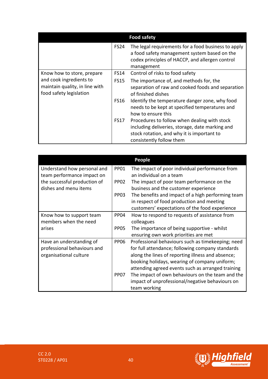|                                                                                      |             | <b>Food safety</b>                                                                                                                                                        |
|--------------------------------------------------------------------------------------|-------------|---------------------------------------------------------------------------------------------------------------------------------------------------------------------------|
|                                                                                      | <b>FS24</b> | The legal requirements for a food business to apply<br>a food safety management system based on the<br>codex principles of HACCP, and allergen control<br>management      |
| Know how to store, prepare                                                           | FS14        | Control of risks to food safety                                                                                                                                           |
| and cook ingredients to<br>maintain quality, in line with<br>food safety legislation | <b>FS15</b> | The importance of, and methods for, the<br>separation of raw and cooked foods and separation<br>of finished dishes                                                        |
|                                                                                      | <b>FS16</b> | Identify the temperature danger zone, why food<br>needs to be kept at specified temperatures and<br>how to ensure this                                                    |
|                                                                                      | <b>FS17</b> | Procedures to follow when dealing with stock<br>including deliveries, storage, date marking and<br>stock rotation, and why it is important to<br>consistently follow them |

|                              |                  | <b>People</b>                                     |
|------------------------------|------------------|---------------------------------------------------|
| Understand how personal and  | <b>PP01</b>      | The impact of poor individual performance from    |
| team performance impact on   |                  | an individual on a team                           |
| the successful production of | PP <sub>02</sub> | The impact of poor team performance on the        |
| dishes and menu items        |                  | business and the customer experience              |
|                              | PP <sub>03</sub> | The benefits and impact of a high performing team |
|                              |                  | in respect of food production and meeting         |
|                              |                  | customers' expectations of the food experience    |
| Know how to support team     | PP <sub>04</sub> | How to respond to requests of assistance from     |
| members when the need        |                  | colleagues                                        |
| arises                       | <b>PP05</b>      | The importance of being supportive - whilst       |
|                              |                  | ensuring own work priorities are met              |
| Have an understanding of     | <b>PP06</b>      | Professional behaviours such as timekeeping; need |
| professional behaviours and  |                  | for full attendance; following company standards  |
| organisational culture       |                  | along the lines of reporting illness and absence; |
|                              |                  | booking holidays, wearing of company uniform;     |
|                              |                  | attending agreed events such as arranged training |
|                              | PP <sub>07</sub> | The impact of own behaviours on the team and the  |
|                              |                  | impact of unprofessional/negative behaviours on   |
|                              |                  | team working                                      |

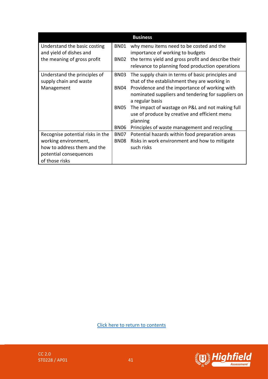|                                  |                  | <b>Business</b>                                     |
|----------------------------------|------------------|-----------------------------------------------------|
| Understand the basic costing     | BN01             | why menu items need to be costed and the            |
| and yield of dishes and          |                  | importance of working to budgets                    |
| the meaning of gross profit      | <b>BN02</b>      | the terms yield and gross profit and describe their |
|                                  |                  | relevance to planning food production operations    |
| Understand the principles of     | BN <sub>03</sub> | The supply chain in terms of basic principles and   |
| supply chain and waste           |                  | that of the establishment they are working in       |
| Management                       | BN04             | Providence and the importance of working with       |
|                                  |                  | nominated suppliers and tendering for suppliers on  |
|                                  |                  | a regular basis                                     |
|                                  | BN <sub>05</sub> | The impact of wastage on P&L and not making full    |
|                                  |                  | use of produce by creative and efficient menu       |
|                                  |                  | planning                                            |
|                                  | <b>BN06</b>      | Principles of waste management and recycling        |
| Recognise potential risks in the | <b>BN07</b>      | Potential hazards within food preparation areas     |
| working environment,             | <b>BN08</b>      | Risks in work environment and how to mitigate       |
| how to address them and the      |                  | such risks                                          |
| potential consequences           |                  |                                                     |
| of those risks                   |                  |                                                     |

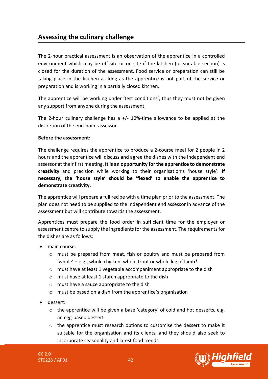## <span id="page-41-0"></span>**Assessing the culinary challenge**

The 2-hour practical assessment is an observation of the apprentice in a controlled environment which may be off-site or on-site if the kitchen (or suitable section) is closed for the duration of the assessment. Food service or preparation can still be taking place in the kitchen as long as the apprentice is not part of the service or preparation and is working in a partially closed kitchen.

The apprentice will be working under 'test conditions', thus they must not be given any support from anyone during the assessment.

The 2-hour culinary challenge has a  $+/-$  10%-time allowance to be applied at the discretion of the end-point assessor.

#### **Before the assessment:**

The challenge requires the apprentice to produce a 2-course meal for 2 people in 2 hours and the apprentice will discuss and agree the dishes with the independent end assessor at their first meeting. **It is an opportunity for the apprentice to demonstrate creativity** and precision while working to their organisation's 'house style'. **If necessary, the 'house style' should be 'flexed' to enable the apprentice to demonstrate creativity.**

The apprentice will prepare a full recipe with a time plan prior to the assessment. The plan does not need to be supplied to the independent end assessor in advance of the assessment but will contribute towards the assessment.

Apprentices must prepare the food order in sufficient time for the employer or assessment centre to supply the ingredients for the assessment. The requirements for the dishes are as follows:

- main course:
	- o must be prepared from meat, fish or poultry and must be prepared from 'whole' – e.g., whole chicken, whole trout or whole leg of lamb\*
	- o must have at least 1 vegetable accompaniment appropriate to the dish
	- o must have at least 1 starch appropriate to the dish
	- o must have a sauce appropriate to the dish
	- o must be based on a dish from the apprentice's organisation
- dessert:
	- o the apprentice will be given a base 'category' of cold and hot desserts, e.g. an egg-based dessert
	- o the apprentice must research options to customise the dessert to make it suitable for the organisation and its clients, and they should also seek to incorporate seasonality and latest food trends

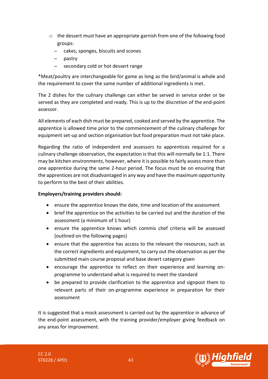- $\circ$  the dessert must have an appropriate garnish from one of the following food groups:
	- ̶ cakes, sponges, biscuits and scones
	- ̶ pastry
	- ̶ secondary cold or hot dessert range

\*Meat/poultry are interchangeable for game as long as the bird/animal is whole and the requirement to cover the same number of additional ingredients is met.

The 2 dishes for the culinary challenge can either be served in service order or be served as they are completed and ready. This is up to the discretion of the end-point assessor.

All elements of each dish must be prepared, cooked and served by the apprentice. The apprentice is allowed time prior to the commencement of the culinary challenge for equipment set-up and section organisation but food preparation must not take place.

Regarding the ratio of independent end assessors to apprentices required for a culinary challenge observation, the expectation is that this will normally be 1:1. There may be kitchen environments, however, where it is possible to fairly assess more than one apprentice during the same 2-hour period. The focus must be on ensuring that the apprentices are not disadvantaged in any way and have the maximum opportunity to perform to the best of their abilities.

#### **Employers/training providers should:**

- ensure the apprentice knows the date, time and location of the assessment
- brief the apprentice on the activities to be carried out and the duration of the assessment (a minimum of 1 hour)
- ensure the apprentice knows which commis chef criteria will be assessed (outlined on the following pages)
- ensure that the apprentice has access to the relevant the resources, such as the correct ingredients and equipment, to carry out the observation as per the submitted main course proposal and base desert category given
- encourage the apprentice to reflect on their experience and learning onprogramme to understand what is required to meet the standard
- be prepared to provide clarification to the apprentice and signpost them to relevant parts of their on-programme experience in preparation for their assessment

It is suggested that a mock assessment is carried out by the apprentice in advance of the end-point assessment, with the training provider/employer giving feedback on any areas for improvement.

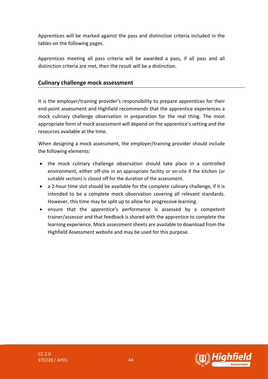Apprentices will be marked against the pass and distinction criteria included in the tables on the following pages.

Apprentices meeting all pass criteria will be awarded a pass, if all pass and all distinction criteria are met, then the result will be a distinction.

#### **Culinary challenge mock assessment**

It is the employer/training provider's responsibility to prepare apprentices for their end-point assessment and Highfield recommends that the apprentice experiences a mock culinary challenge observation in preparation for the real thing. The most appropriate form of mock assessment will depend on the apprentice's setting and the resources available at the time.

When designing a mock assessment, the employer/training provider should include the following elements:

- the mock culinary challenge observation should take place in a controlled environment, either off-site in an appropriate facility or on-site if the kitchen (or suitable section) is closed off for the duration of the assessment.
- a 2-hour time slot should be available for the complete culinary challenge, if it is intended to be a complete mock observation covering all relevant standards. However, this time may be split up to allow for progressive learning.
- ensure that the apprentice's performance is assessed by a competent trainer/assessor and that feedback is shared with the apprentice to complete the learning experience. Mock assessment sheets are available to download from the Highfield Assessment website and may be used for this purpose.

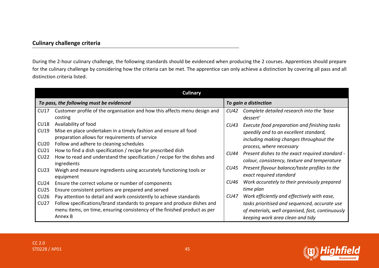#### **Culinary challenge criteria**

During the 2-hour culinary challenge, the following standards should be evidenced when producing the 2 courses. Apprentices should prepare for the culinary challenge by considering how the criteria can be met. The apprentice can only achieve a distinction by covering all pass and all distinction criteria listed.

|                     | Culinary                                                                                                                                      |      |                                                                                                                                   |  |  |  |
|---------------------|-----------------------------------------------------------------------------------------------------------------------------------------------|------|-----------------------------------------------------------------------------------------------------------------------------------|--|--|--|
|                     | To pass, the following must be evidenced                                                                                                      |      | To gain a distinction                                                                                                             |  |  |  |
| CU <sub>17</sub>    | Customer profile of the organisation and how this affects menu design and<br>costing                                                          | CU42 | Complete detailed research into the 'base<br>dessert'                                                                             |  |  |  |
| CU18<br><b>CU19</b> | Availability of food<br>Mise en place undertaken in a timely fashion and ensure all food<br>preparation allows for requirements of service    | CU43 | Execute food preparation and finishing tasks<br>speedily and to an excellent standard,<br>including making changes throughout the |  |  |  |
| CU20<br>CU21        | Follow and adhere to cleaning schedules<br>How to find a dish specification / recipe for prescribed dish                                      |      | process, where necessary                                                                                                          |  |  |  |
| CU22                | How to read and understand the specification / recipe for the dishes and<br>ingredients                                                       | CU44 | Present dishes to the exact required standard -<br>colour, consistency, texture and temperature                                   |  |  |  |
| CU <sub>23</sub>    | Weigh and measure ingredients using accurately functioning tools or<br>equipment                                                              | CU45 | Present flavour balance/taste profiles to the<br>exact required standard                                                          |  |  |  |
| CU24<br>CU25        | Ensure the correct volume or number of components<br>Ensure consistent portions are prepared and served                                       | CU46 | Work accurately to their previously prepared<br>time plan                                                                         |  |  |  |
| CU26<br>CU27        | Pay attention to detail and work consistently to achieve standards<br>Follow specifications/brand standards to prepare and produce dishes and | CU47 | Work efficiently and effectively with ease,<br>tasks prioritised and sequenced, accurate use                                      |  |  |  |
|                     | menu items, on time, ensuring consistency of the finished product as per<br>Annex B                                                           |      | of materials, well organised, fast, continuously<br>keeping work area clean and tidy                                              |  |  |  |

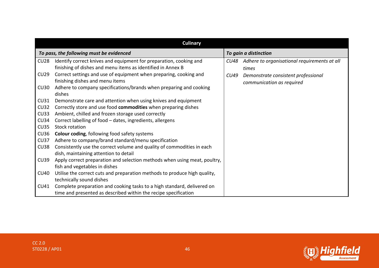|             | <b>Culinary</b>                                                           |      |                                              |  |
|-------------|---------------------------------------------------------------------------|------|----------------------------------------------|--|
|             | To pass, the following must be evidenced                                  |      | To gain a distinction                        |  |
| CU28        | Identify correct knives and equipment for preparation, cooking and        | CU48 | Adhere to organisational requirements at all |  |
|             | finishing of dishes and menu items as identified in Annex B               |      | times                                        |  |
| CU29        | Correct settings and use of equipment when preparing, cooking and         | CU49 | Demonstrate consistent professional          |  |
|             | finishing dishes and menu items                                           |      | communication as required                    |  |
| CU30        | Adhere to company specifications/brands when preparing and cooking        |      |                                              |  |
|             | dishes                                                                    |      |                                              |  |
| CU31        | Demonstrate care and attention when using knives and equipment            |      |                                              |  |
| <b>CU32</b> | Correctly store and use food commodities when preparing dishes            |      |                                              |  |
| CU33        | Ambient, chilled and frozen storage used correctly                        |      |                                              |  |
| CU34        | Correct labelling of food - dates, ingredients, allergens                 |      |                                              |  |
| CU35        | <b>Stock rotation</b>                                                     |      |                                              |  |
| CU36        | <b>Colour coding, following food safety systems</b>                       |      |                                              |  |
| CU37        | Adhere to company/brand standard/menu specification                       |      |                                              |  |
| CU38        | Consistently use the correct volume and quality of commodities in each    |      |                                              |  |
|             | dish, maintaining attention to detail                                     |      |                                              |  |
| <b>CU39</b> | Apply correct preparation and selection methods when using meat, poultry, |      |                                              |  |
|             | fish and vegetables in dishes                                             |      |                                              |  |
| <b>CU40</b> | Utilise the correct cuts and preparation methods to produce high quality, |      |                                              |  |
|             | technically sound dishes                                                  |      |                                              |  |
| CU41        | Complete preparation and cooking tasks to a high standard, delivered on   |      |                                              |  |
|             | time and presented as described within the recipe specification           |      |                                              |  |

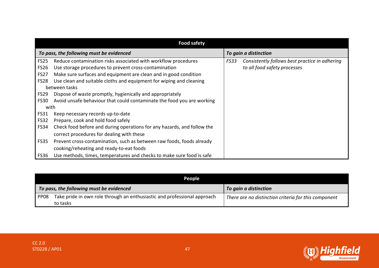|             | <b>Food safety</b>                                                      |      |                                                |  |  |
|-------------|-------------------------------------------------------------------------|------|------------------------------------------------|--|--|
|             | To pass, the following must be evidenced                                |      | To gain a distinction                          |  |  |
| <b>FS25</b> | Reduce contamination risks associated with workflow procedures          | FS33 | Consistently follows best practice in adhering |  |  |
| <b>FS26</b> | Use storage procedures to prevent cross-contamination                   |      | to all food safety processes                   |  |  |
| <b>FS27</b> | Make sure surfaces and equipment are clean and in good condition        |      |                                                |  |  |
| <b>FS28</b> | Use clean and suitable cloths and equipment for wiping and cleaning     |      |                                                |  |  |
|             | between tasks                                                           |      |                                                |  |  |
| <b>FS29</b> | Dispose of waste promptly, hygienically and appropriately               |      |                                                |  |  |
| <b>FS30</b> | Avoid unsafe behaviour that could contaminate the food you are working  |      |                                                |  |  |
| with        |                                                                         |      |                                                |  |  |
| FS31        | Keep necessary records up-to-date                                       |      |                                                |  |  |
| <b>FS32</b> | Prepare, cook and hold food safely                                      |      |                                                |  |  |
| FS34        | Check food before and during operations for any hazards, and follow the |      |                                                |  |  |
|             | correct procedures for dealing with these                               |      |                                                |  |  |
| FS35        | Prevent cross-contamination, such as between raw foods, foods already   |      |                                                |  |  |
|             | cooking/reheating and ready-to-eat foods                                |      |                                                |  |  |
| FS36        | Use methods, times, temperatures and checks to make sure food is safe   |      |                                                |  |  |

|                  | <b>People</b>                                                                        |                                                      |  |  |  |
|------------------|--------------------------------------------------------------------------------------|------------------------------------------------------|--|--|--|
|                  | To pass, the following must be evidenced                                             | To gain a distinction                                |  |  |  |
| PP <sub>08</sub> | Take pride in own role through an enthusiastic and professional approach<br>to tasks | There are no distinction criteria for this component |  |  |  |

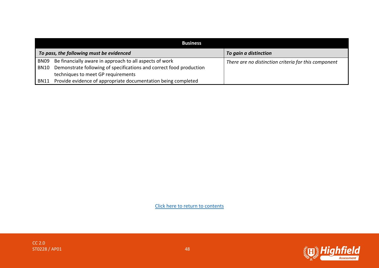|                  | <b>Business</b>                                                     |                                                      |  |  |  |
|------------------|---------------------------------------------------------------------|------------------------------------------------------|--|--|--|
|                  | To pass, the following must be evidenced                            | To gain a distinction                                |  |  |  |
| BN <sub>09</sub> | Be financially aware in approach to all aspects of work             | There are no distinction criteria for this component |  |  |  |
| <b>BN10</b>      | Demonstrate following of specifications and correct food production |                                                      |  |  |  |
|                  | techniques to meet GP requirements                                  |                                                      |  |  |  |
| <b>BN11</b>      | Provide evidence of appropriate documentation being completed       |                                                      |  |  |  |



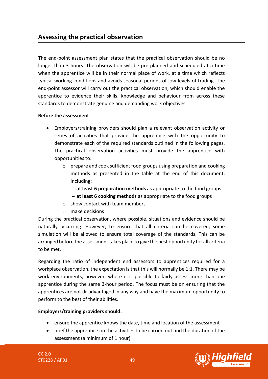## <span id="page-48-0"></span>**Assessing the practical observation**

The end-point assessment plan states that the practical observation should be no longer than 3 hours. The observation will be pre-planned and scheduled at a time when the apprentice will be in their normal place of work, at a time which reflects typical working conditions and avoids seasonal periods of low levels of trading. The end-point assessor will carry out the practical observation, which should enable the apprentice to evidence their skills, knowledge and behaviour from across these standards to demonstrate genuine and demanding work objectives.

#### **Before the assessment**

- Employers/training providers should plan a relevant observation activity or series of activities that provide the apprentice with the opportunity to demonstrate each of the required standards outlined in the following pages. The practical observation activities must provide the apprentice with opportunities to:
	- o prepare and cook sufficient food groups using preparation and cooking methods as presented in the table at the end of this document, including:
		- ̶**at least 6 preparation methods** as appropriate to the food groups
		- ̶**at least 6 cooking methods** as appropriate to the food groups
	- $\circ$  show contact with team members
	- o make decisions

During the practical observation, where possible, situations and evidence should be naturally occurring. However, to ensure that all criteria can be covered, some simulation will be allowed to ensure total coverage of the standards. This can be arranged before the assessment takes place to give the best opportunity for all criteria to be met.

Regarding the ratio of independent end assessors to apprentices required for a workplace observation, the expectation is that this will normally be 1:1. There may be work environments, however, where it is possible to fairly assess more than one apprentice during the same 3-hour period. The focus must be on ensuring that the apprentices are not disadvantaged in any way and have the maximum opportunity to perform to the best of their abilities.

#### **Employers/training providers should:**

- ensure the apprentice knows the date, time and location of the assessment
- brief the apprentice on the activities to be carried out and the duration of the assessment (a minimum of 1 hour)

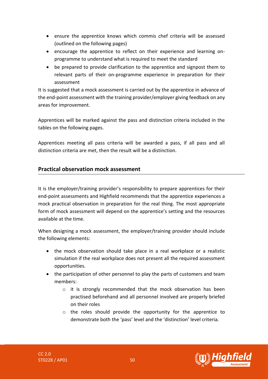- ensure the apprentice knows which commis chef criteria will be assessed (outlined on the following pages)
- encourage the apprentice to reflect on their experience and learning onprogramme to understand what is required to meet the standard
- be prepared to provide clarification to the apprentice and signpost them to relevant parts of their on-programme experience in preparation for their assessment

It is suggested that a mock assessment is carried out by the apprentice in advance of the end-point assessment with the training provider/employer giving feedback on any areas for improvement.

Apprentices will be marked against the pass and distinction criteria included in the tables on the following pages.

Apprentices meeting all pass criteria will be awarded a pass, if all pass and all distinction criteria are met, then the result will be a distinction.

#### **Practical observation mock assessment**

It is the employer/training provider's responsibility to prepare apprentices for their end-point assessments and Highfield recommends that the apprentice experiences a mock practical observation in preparation for the real thing. The most appropriate form of mock assessment will depend on the apprentice's setting and the resources available at the time.

When designing a mock assessment, the employer/training provider should include the following elements:

- the mock observation should take place in a real workplace or a realistic simulation if the real workplace does not present all the required assessment opportunities.
- the participation of other personnel to play the parts of customers and team members:
	- $\circ$  it is strongly recommended that the mock observation has been practised beforehand and all personnel involved are properly briefed on their roles
	- o the roles should provide the opportunity for the apprentice to demonstrate both the 'pass' level and the 'distinction' level criteria.

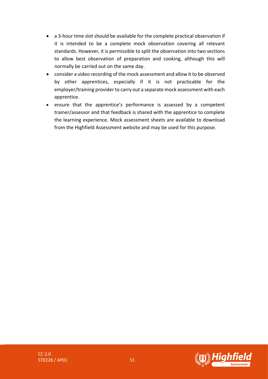- a 3-hour time slot should be available for the complete practical observation if it is intended to be a complete mock observation covering all relevant standards. However, it is permissible to split the observation into two sections to allow best observation of preparation and cooking, although this will normally be carried out on the same day.
- consider a video recording of the mock assessment and allow it to be observed by other apprentices, especially if it is not practicable for the employer/training provider to carry out a separate mock assessment with each apprentice.
- ensure that the apprentice's performance is assessed by a competent trainer/assessor and that feedback is shared with the apprentice to complete the learning experience. Mock assessment sheets are available to download from the Highfield Assessment website and may be used for this purpose.

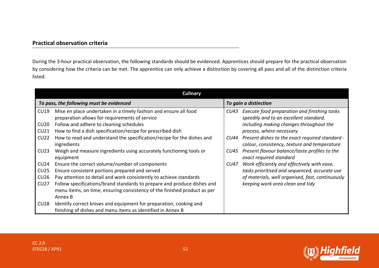#### **Practical observation criteria**

During the 3-hour practical observation, the following standards should be evidenced. Apprentices should prepare for the practical observation by considering how the criteria can be met. The apprentice can only achieve a distinction by covering all pass and all of the distinction criteria listed.

|                  | Culinary                                                                                                           |      |                                                                                                 |  |  |
|------------------|--------------------------------------------------------------------------------------------------------------------|------|-------------------------------------------------------------------------------------------------|--|--|
|                  | To pass, the following must be evidenced                                                                           |      | To gain a distinction                                                                           |  |  |
| <b>CU19</b>      | Mise en place undertaken in a timely fashion and ensure all food<br>preparation allows for requirements of service | CU43 | Execute food preparation and finishing tasks<br>speedily and to an excellent standard,          |  |  |
| CU20<br>CU21     | Follow and adhere to cleaning schedules<br>How to find a dish specification/recipe for prescribed dish             |      | including making changes throughout the<br>process, where necessary                             |  |  |
| CU22             | How to read and understand the specification/recipe for the dishes and<br>ingredients                              | CU44 | Present dishes to the exact required standard -<br>colour, consistency, texture and temperature |  |  |
| CU <sub>23</sub> | Weigh and measure ingredients using accurately functioning tools or<br>equipment                                   | CU45 | Present flavour balance/taste profiles to the<br>exact required standard                        |  |  |
| CU24             | Ensure the correct volume/number of components                                                                     | CU47 | Work efficiently and effectively with ease,                                                     |  |  |
| CU25             | Ensure consistent portions prepared and served                                                                     |      | tasks prioritised and sequenced, accurate use                                                   |  |  |
| CU26             | Pay attention to detail and work consistently to achieve standards                                                 |      | of materials, well organised, fast, continuously                                                |  |  |
| CU27             | Follow specifications/brand standards to prepare and produce dishes and                                            |      | keeping work area clean and tidy                                                                |  |  |
|                  | menu items, on time, ensuring consistency of the finished product as per                                           |      |                                                                                                 |  |  |
|                  | Annex B                                                                                                            |      |                                                                                                 |  |  |
| CU28             | Identify correct knives and equipment for preparation, cooking and                                                 |      |                                                                                                 |  |  |
|                  | finishing of dishes and menu items as identified in Annex B                                                        |      |                                                                                                 |  |  |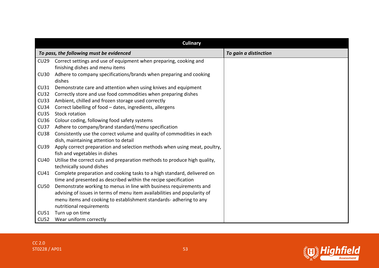|             | <b>Culinary</b>                                                              |                       |  |  |  |
|-------------|------------------------------------------------------------------------------|-----------------------|--|--|--|
|             | To pass, the following must be evidenced                                     | To gain a distinction |  |  |  |
| CU29        | Correct settings and use of equipment when preparing, cooking and            |                       |  |  |  |
|             | finishing dishes and menu items                                              |                       |  |  |  |
| <b>CU30</b> | Adhere to company specifications/brands when preparing and cooking<br>dishes |                       |  |  |  |
| CU31        | Demonstrate care and attention when using knives and equipment               |                       |  |  |  |
| <b>CU32</b> | Correctly store and use food commodities when preparing dishes               |                       |  |  |  |
| <b>CU33</b> | Ambient, chilled and frozen storage used correctly                           |                       |  |  |  |
| <b>CU34</b> | Correct labelling of food - dates, ingredients, allergens                    |                       |  |  |  |
| <b>CU35</b> | <b>Stock rotation</b>                                                        |                       |  |  |  |
| <b>CU36</b> | Colour coding, following food safety systems                                 |                       |  |  |  |
| <b>CU37</b> | Adhere to company/brand standard/menu specification                          |                       |  |  |  |
| <b>CU38</b> | Consistently use the correct volume and quality of commodities in each       |                       |  |  |  |
|             | dish, maintaining attention to detail                                        |                       |  |  |  |
| <b>CU39</b> | Apply correct preparation and selection methods when using meat, poultry,    |                       |  |  |  |
|             | fish and vegetables in dishes                                                |                       |  |  |  |
| <b>CU40</b> | Utilise the correct cuts and preparation methods to produce high quality,    |                       |  |  |  |
|             | technically sound dishes                                                     |                       |  |  |  |
| <b>CU41</b> | Complete preparation and cooking tasks to a high standard, delivered on      |                       |  |  |  |
|             | time and presented as described within the recipe specification              |                       |  |  |  |
| <b>CU50</b> | Demonstrate working to menus in line with business requirements and          |                       |  |  |  |
|             | advising of issues in terms of menu item availabilities and popularity of    |                       |  |  |  |
|             | menu items and cooking to establishment standards- adhering to any           |                       |  |  |  |
|             | nutritional requirements                                                     |                       |  |  |  |
| CU51        | Turn up on time                                                              |                       |  |  |  |
| <b>CU52</b> | Wear uniform correctly                                                       |                       |  |  |  |

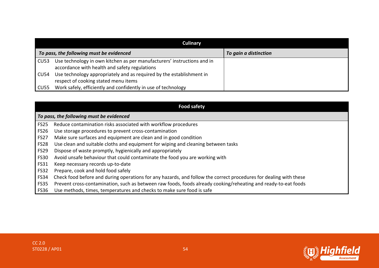|                  | Culinary                                                                                                                 |                       |  |  |  |
|------------------|--------------------------------------------------------------------------------------------------------------------------|-----------------------|--|--|--|
|                  | To pass, the following must be evidenced                                                                                 | To gain a distinction |  |  |  |
| CU <sub>53</sub> | Use technology in own kitchen as per manufacturers' instructions and in<br>accordance with health and safety regulations |                       |  |  |  |
| CU54             | Use technology appropriately and as required by the establishment in<br>respect of cooking stated menu items             |                       |  |  |  |
| CU55             | Work safely, efficiently and confidently in use of technology                                                            |                       |  |  |  |

|             | <b>Food safety</b>                                                                                                |
|-------------|-------------------------------------------------------------------------------------------------------------------|
|             | To pass, the following must be evidenced                                                                          |
| <b>FS25</b> | Reduce contamination risks associated with workflow procedures                                                    |
| <b>FS26</b> | Use storage procedures to prevent cross-contamination                                                             |
| <b>FS27</b> | Make sure surfaces and equipment are clean and in good condition                                                  |
| <b>FS28</b> | Use clean and suitable cloths and equipment for wiping and cleaning between tasks                                 |
| <b>FS29</b> | Dispose of waste promptly, hygienically and appropriately                                                         |
| <b>FS30</b> | Avoid unsafe behaviour that could contaminate the food you are working with                                       |
| <b>FS31</b> | Keep necessary records up-to-date                                                                                 |
| <b>FS32</b> | Prepare, cook and hold food safely                                                                                |
| <b>FS34</b> | Check food before and during operations for any hazards, and follow the correct procedures for dealing with these |
| <b>FS35</b> | Prevent cross-contamination, such as between raw foods, foods already cooking/reheating and ready-to-eat foods    |
| FS36        | Use methods, times, temperatures and checks to make sure food is safe                                             |

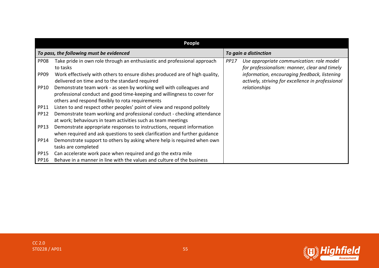|                  | People                                                                                                                                                                                             |             |                                                                                                   |
|------------------|----------------------------------------------------------------------------------------------------------------------------------------------------------------------------------------------------|-------------|---------------------------------------------------------------------------------------------------|
|                  | To pass, the following must be evidenced                                                                                                                                                           |             | To gain a distinction                                                                             |
| PP <sub>08</sub> | Take pride in own role through an enthusiastic and professional approach<br>to tasks                                                                                                               | <b>PP17</b> | Use appropriate communication: role model<br>for professionalism: manner, clear and timely        |
| PP <sub>09</sub> | Work effectively with others to ensure dishes produced are of high quality,<br>delivered on time and to the standard required                                                                      |             | information, encouraging feedback, listening<br>actively, striving for excellence in professional |
| PP10             | Demonstrate team work - as seen by working well with colleagues and<br>professional conduct and good time-keeping and willingness to cover for<br>others and respond flexibly to rota requirements |             | relationships                                                                                     |
| <b>PP11</b>      | Listen to and respect other peoples' point of view and respond politely                                                                                                                            |             |                                                                                                   |
| <b>PP12</b>      | Demonstrate team working and professional conduct - checking attendance<br>at work; behaviours in team activities such as team meetings                                                            |             |                                                                                                   |
| <b>PP13</b>      | Demonstrate appropriate responses to instructions, request information<br>when required and ask questions to seek clarification and further guidance                                               |             |                                                                                                   |
| <b>PP14</b>      | Demonstrate support to others by asking where help is required when own<br>tasks are completed                                                                                                     |             |                                                                                                   |
| <b>PP15</b>      | Can accelerate work pace when required and go the extra mile                                                                                                                                       |             |                                                                                                   |
| <b>PP16</b>      | Behave in a manner in line with the values and culture of the business                                                                                                                             |             |                                                                                                   |

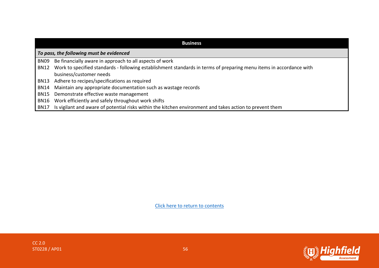|                  | <b>Business</b>                                                                                                     |  |  |  |  |
|------------------|---------------------------------------------------------------------------------------------------------------------|--|--|--|--|
|                  | To pass, the following must be evidenced                                                                            |  |  |  |  |
| BN <sub>09</sub> | Be financially aware in approach to all aspects of work                                                             |  |  |  |  |
| <b>BN12</b>      | Work to specified standards - following establishment standards in terms of preparing menu items in accordance with |  |  |  |  |
|                  | business/customer needs                                                                                             |  |  |  |  |
| <b>BN13</b>      | Adhere to recipes/specifications as required                                                                        |  |  |  |  |
| <b>BN14</b>      | Maintain any appropriate documentation such as wastage records                                                      |  |  |  |  |
| <b>BN15</b>      | Demonstrate effective waste management                                                                              |  |  |  |  |
| <b>BN16</b>      | Work efficiently and safely throughout work shifts                                                                  |  |  |  |  |
| <b>BN17</b>      | Is vigilant and aware of potential risks within the kitchen environment and takes action to prevent them            |  |  |  |  |

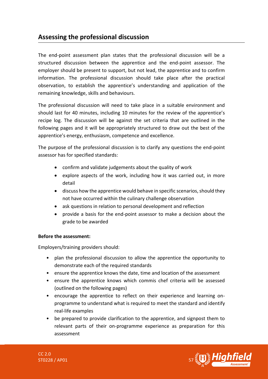# <span id="page-56-0"></span>**Assessing the professional discussion**

The end-point assessment plan states that the professional discussion will be a structured discussion between the apprentice and the end-point assessor. The employer should be present to support, but not lead, the apprentice and to confirm information. The professional discussion should take place after the practical observation, to establish the apprentice's understanding and application of the remaining knowledge, skills and behaviours.

The professional discussion will need to take place in a suitable environment and should last for 40 minutes, including 10 minutes for the review of the apprentice's recipe log. The discussion will be against the set criteria that are outlined in the following pages and it will be appropriately structured to draw out the best of the apprentice's energy, enthusiasm, competence and excellence.

The purpose of the professional discussion is to clarify any questions the end-point assessor has for specified standards:

- confirm and validate judgements about the quality of work
- explore aspects of the work, including how it was carried out, in more detail
- discuss how the apprentice would behave in specific scenarios, should they not have occurred within the culinary challenge observation
- ask questions in relation to personal development and reflection
- provide a basis for the end-point assessor to make a decision about the grade to be awarded

#### **Before the assessment:**

Employers/training providers should:

- plan the professional discussion to allow the apprentice the opportunity to demonstrate each of the required standards
- ensure the apprentice knows the date, time and location of the assessment
- ensure the apprentice knows which commis chef criteria will be assessed (outlined on the following pages)
- encourage the apprentice to reflect on their experience and learning onprogramme to understand what is required to meet the standard and identify real-life examples
- be prepared to provide clarification to the apprentice, and signpost them to relevant parts of their on-programme experience as preparation for this assessment

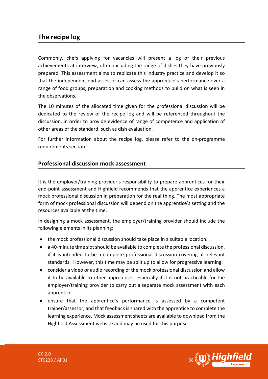## **The recipe log**

Commonly, chefs applying for vacancies will present a log of their previous achievements at interview, often including the range of dishes they have previously prepared. This assessment aims to replicate this industry practice and develop it so that the independent end assessor can assess the apprentice's performance over a range of food groups, preparation and cooking methods to build on what is seen in the observations.

The 10 minutes of the allocated time given for the professional discussion will be dedicated to the review of the recipe log and will be referenced throughout the discussion, in order to provide evidence of range of competence and application of other areas of the standard, such as dish evaluation.

For further information about the recipe log, please refer to the on-programme requirements section.

#### **Professional discussion mock assessment**

It is the employer/training provider's responsibility to prepare apprentices for their end-point assessment and Highfield recommends that the apprentice experiences a mock professional discussion in preparation for the real thing. The most appropriate form of mock professional discussion will depend on the apprentice's setting and the resources available at the time.

In designing a mock assessment, the employer/training provider should include the following elements in its planning:

- the mock professional discussion should take place in a suitable location.
- a 40-minute time slot should be available to complete the professional discussion, if it is intended to be a complete professional discussion covering all relevant standards. However, this time may be split up to allow for progressive learning.
- consider a video or audio recording of the mock professional discussion and allow it to be available to other apprentices, especially if it is not practicable for the employer/training provider to carry out a separate mock assessment with each apprentice.
- ensure that the apprentice's performance is assessed by a competent trainer/assessor, and that feedback is shared with the apprentice to complete the learning experience. Mock assessment sheets are available to download from the Highfield Assessment website and may be used for this purpose.

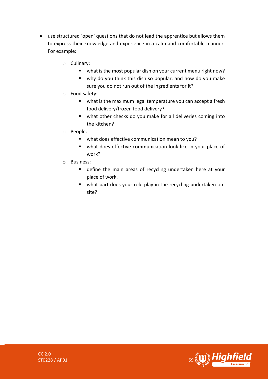- use structured 'open' questions that do not lead the apprentice but allows them to express their knowledge and experience in a calm and comfortable manner. For example:
	- o Culinary:
		- what is the most popular dish on your current menu right now?
		- why do you think this dish so popular, and how do you make sure you do not run out of the ingredients for it?
	- o Food safety:
		- what is the maximum legal temperature you can accept a fresh food delivery/frozen food delivery?
		- what other checks do you make for all deliveries coming into the kitchen?
	- o People:
		- what does effective communication mean to you?
		- what does effective communication look like in your place of work?
	- o Business:
		- define the main areas of recycling undertaken here at your place of work.
		- what part does your role play in the recycling undertaken onsite?

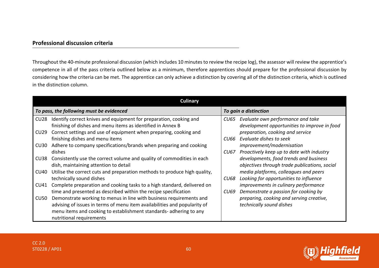#### **Professional discussion criteria**

Throughout the 40-minute professional discussion (which includes 10 minutes to review the recipe log), the assessor will review the apprentice's competence in all of the pass criteria outlined below as a minimum, therefore apprentices should prepare for the professional discussion by considering how the criteria can be met. The apprentice can only achieve a distinction by covering all of the distinction criteria, which is outlined in the distinction column.

|                  | <b>Culinary</b>                                                           |        |                                               |  |
|------------------|---------------------------------------------------------------------------|--------|-----------------------------------------------|--|
|                  | To pass, the following must be evidenced                                  |        | To gain a distinction                         |  |
| CU28             | Identify correct knives and equipment for preparation, cooking and        |        | CU65 Evaluate own performance and take        |  |
|                  | finishing of dishes and menu items as identified in Annex B               |        | development opportunities to improve in food  |  |
| CU29             | Correct settings and use of equipment when preparing, cooking and         |        | preparation, cooking and service              |  |
|                  | finishing dishes and menu items                                           | CU66 - | Evaluate dishes to seek                       |  |
| CU <sub>30</sub> | Adhere to company specifications/brands when preparing and cooking        |        | improvement/modernisation                     |  |
|                  | dishes                                                                    | CU67   | Proactively keep up to date with industry     |  |
| CU <sub>38</sub> | Consistently use the correct volume and quality of commodities in each    |        | developments, food trends and business        |  |
|                  | dish, maintaining attention to detail                                     |        | objectives through trade publications, social |  |
| CU40             | Utilise the correct cuts and preparation methods to produce high quality, |        | media platforms, colleagues and peers         |  |
|                  | technically sound dishes                                                  | CU68   | Looking for opportunities to influence        |  |
| CU41             | Complete preparation and cooking tasks to a high standard, delivered on   |        | improvements in culinary performance          |  |
|                  | time and presented as described within the recipe specification           | CU69   | Demonstrate a passion for cooking by          |  |
| CU50             | Demonstrate working to menus in line with business requirements and       |        | preparing, cooking and serving creative,      |  |
|                  | advising of issues in terms of menu item availabilities and popularity of |        | technically sound dishes                      |  |
|                  | menu items and cooking to establishment standards-adhering to any         |        |                                               |  |
|                  | nutritional requirements                                                  |        |                                               |  |

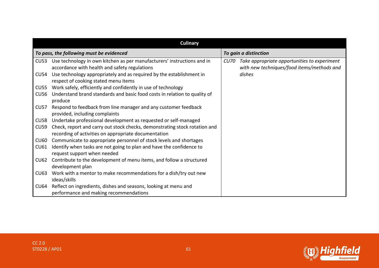|                  | Culinary                                                                   |  |                                                   |  |
|------------------|----------------------------------------------------------------------------|--|---------------------------------------------------|--|
|                  | To pass, the following must be evidenced                                   |  | To gain a distinction                             |  |
| CU53             | Use technology in own kitchen as per manufacturers' instructions and in    |  | CU70 Take appropriate opportunities to experiment |  |
|                  | accordance with health and safety regulations                              |  | with new techniques/food items/methods and        |  |
| CU54             | Use technology appropriately and as required by the establishment in       |  | dishes                                            |  |
|                  | respect of cooking stated menu items                                       |  |                                                   |  |
| CU55             | Work safely, efficiently and confidently in use of technology              |  |                                                   |  |
| CU56             | Understand brand standards and basic food costs in relation to quality of  |  |                                                   |  |
|                  | produce                                                                    |  |                                                   |  |
| CU <sub>57</sub> | Respond to feedback from line manager and any customer feedback            |  |                                                   |  |
|                  | provided, including complaints                                             |  |                                                   |  |
| <b>CU58</b>      | Undertake professional development as requested or self-managed            |  |                                                   |  |
| <b>CU59</b>      | Check, report and carry out stock checks, demonstrating stock rotation and |  |                                                   |  |
|                  | recording of activities on appropriate documentation                       |  |                                                   |  |
| <b>CU60</b>      | Communicate to appropriate personnel of stock levels and shortages         |  |                                                   |  |
| <b>CU61</b>      | Identify when tasks are not going to plan and have the confidence to       |  |                                                   |  |
|                  | request support when needed                                                |  |                                                   |  |
| CU62             | Contribute to the development of menu items, and follow a structured       |  |                                                   |  |
|                  | development plan                                                           |  |                                                   |  |
| <b>CU63</b>      | Work with a mentor to make recommendations for a dish/try out new          |  |                                                   |  |
|                  | ideas/skills                                                               |  |                                                   |  |
| CU64             | Reflect on ingredients, dishes and seasons, looking at menu and            |  |                                                   |  |
|                  | performance and making recommendations                                     |  |                                                   |  |



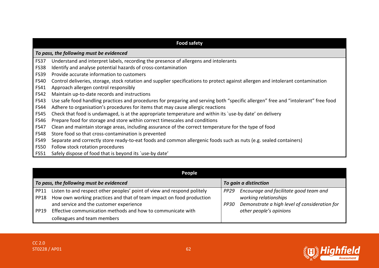|             | <b>Food safety</b>                                                                                                                 |  |  |  |  |
|-------------|------------------------------------------------------------------------------------------------------------------------------------|--|--|--|--|
|             | To pass, the following must be evidenced                                                                                           |  |  |  |  |
| <b>FS37</b> | Understand and interpret labels, recording the presence of allergens and intolerants                                               |  |  |  |  |
| <b>FS38</b> | Identify and analyse potential hazards of cross-contamination                                                                      |  |  |  |  |
| <b>FS39</b> | Provide accurate information to customers                                                                                          |  |  |  |  |
| <b>FS40</b> | Control deliveries, storage, stock rotation and supplier specifications to protect against allergen and intolerant contamination   |  |  |  |  |
| <b>FS41</b> | Approach allergen control responsibly                                                                                              |  |  |  |  |
| <b>FS42</b> | Maintain up-to-date records and instructions                                                                                       |  |  |  |  |
| <b>FS43</b> | Use safe food handling practices and procedures for preparing and serving both "specific allergen" free and "intolerant" free food |  |  |  |  |
| <b>FS44</b> | Adhere to organisation's procedures for items that may cause allergic reactions                                                    |  |  |  |  |
| <b>FS45</b> | Check that food is undamaged, is at the appropriate temperature and within its 'use-by date' on delivery                           |  |  |  |  |
| <b>FS46</b> | Prepare food for storage and store within correct timescales and conditions                                                        |  |  |  |  |
| <b>FS47</b> | Clean and maintain storage areas, including assurance of the correct temperature for the type of food                              |  |  |  |  |
| <b>FS48</b> | Store food so that cross-contamination is prevented                                                                                |  |  |  |  |
| <b>FS49</b> | Separate and correctly store ready-to-eat foods and common allergenic foods such as nuts (e.g. sealed containers)                  |  |  |  |  |
| <b>FS50</b> | Follow stock rotation procedures                                                                                                   |  |  |  |  |
| <b>FS51</b> | Safely dispose of food that is beyond its 'use-by date'                                                                            |  |  |  |  |

|                                          | <b>People</b>                                                           |                       |                                               |  |
|------------------------------------------|-------------------------------------------------------------------------|-----------------------|-----------------------------------------------|--|
| To pass, the following must be evidenced |                                                                         | To gain a distinction |                                               |  |
| <b>PP11</b>                              | Listen to and respect other peoples' point of view and respond politely | PP <sub>29</sub>      | Encourage and facilitate good team and        |  |
| <b>PP18</b>                              | How own working practices and that of team impact on food production    |                       | working relationships                         |  |
|                                          | and service and the customer experience                                 | PP30                  | Demonstrate a high level of consideration for |  |
| PP19                                     | Effective communication methods and how to communicate with             |                       | other people's opinions                       |  |
|                                          | colleagues and team members                                             |                       |                                               |  |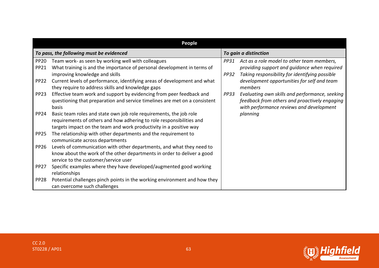|                            | <b>People</b>                                                                                                                                                                                                    |                     |                                                                                                                                              |
|----------------------------|------------------------------------------------------------------------------------------------------------------------------------------------------------------------------------------------------------------|---------------------|----------------------------------------------------------------------------------------------------------------------------------------------|
|                            | To pass, the following must be evidenced                                                                                                                                                                         |                     | To gain a distinction                                                                                                                        |
| <b>PP20</b><br><b>PP21</b> | Team work- as seen by working well with colleagues<br>What training is and the importance of personal development in terms of<br>improving knowledge and skills                                                  | PP31<br><b>PP32</b> | Act as a role model to other team members,<br>providing support and guidance when required<br>Taking responsibility for identifying possible |
| PP <sub>22</sub>           | Current levels of performance, identifying areas of development and what<br>they require to address skills and knowledge gaps                                                                                    |                     | development opportunities for self and team<br>members                                                                                       |
| PP <sub>23</sub>           | Effective team work and support by evidencing from peer feedback and<br>questioning that preparation and service timelines are met on a consistent<br>basis                                                      | PP33                | Evaluating own skills and performance, seeking<br>feedback from others and proactively engaging<br>with performance reviews and development  |
| PP <sub>24</sub>           | Basic team roles and state own job role requirements, the job role<br>requirements of others and how adhering to role responsibilities and<br>targets impact on the team and work productivity in a positive way |                     | planning                                                                                                                                     |
| <b>PP25</b>                | The relationship with other departments and the requirement to<br>communicate across departments                                                                                                                 |                     |                                                                                                                                              |
| PP <sub>26</sub>           | Levels of communication with other departments, and what they need to<br>know about the work of the other departments in order to deliver a good<br>service to the customer/service user                         |                     |                                                                                                                                              |
| <b>PP27</b>                | Specific examples where they have developed/augmented good working<br>relationships                                                                                                                              |                     |                                                                                                                                              |
| PP <sub>28</sub>           | Potential challenges pinch points in the working environment and how they<br>can overcome such challenges                                                                                                        |                     |                                                                                                                                              |



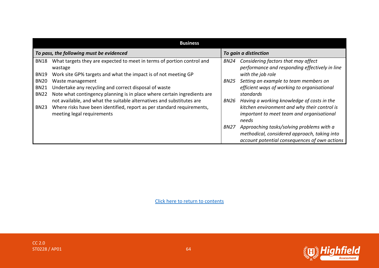|                            | <b>Business</b>                                                                                                                                     |             |                                                                                                                                            |  |
|----------------------------|-----------------------------------------------------------------------------------------------------------------------------------------------------|-------------|--------------------------------------------------------------------------------------------------------------------------------------------|--|
|                            | To pass, the following must be evidenced                                                                                                            |             | To gain a distinction                                                                                                                      |  |
| <b>BN18</b><br><b>BN19</b> | What targets they are expected to meet in terms of portion control and<br>wastage<br>Work site GP% targets and what the impact is of not meeting GP | BN24        | Considering factors that may affect<br>performance and responding effectively in line<br>with the job role                                 |  |
| <b>BN20</b><br><b>BN21</b> | Waste management<br>Undertake any recycling and correct disposal of waste                                                                           | <b>BN25</b> | Setting an example to team members on<br>efficient ways of working to organisational                                                       |  |
| <b>BN22</b><br><b>BN23</b> | Note what contingency planning is in place where certain ingredients are<br>not available, and what the suitable alternatives and substitutes are   | BN26        | standards<br>Having a working knowledge of costs in the<br>kitchen environment and why their control is                                    |  |
|                            | Where risks have been identified, report as per standard requirements,<br>meeting legal requirements                                                |             | important to meet team and organisational<br>needs                                                                                         |  |
|                            |                                                                                                                                                     | BN27        | Approaching tasks/solving problems with a<br>methodical, considered approach, taking into<br>account potential consequences of own actions |  |



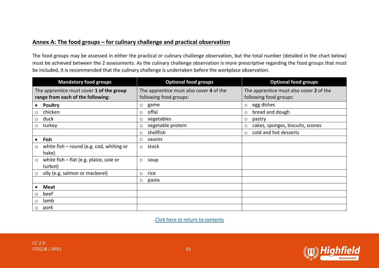#### Annex A: The food groups – for culinary challenge and practical observation

The food groups may be assessed in either the practical or culinary challenge observation, but the total number (detailed in the chart below) must be achieved between the 2 assessments. As the culinary challenge observation is more prescriptive regarding the food groups that must be included, it is recommended that the culinary challenge is undertaken before the workplace observation.

<span id="page-64-0"></span>

| <b>Mandatory food groups</b>                                                  | <b>Optional food groups</b>                                       | <b>Optional food groups</b>                                       |
|-------------------------------------------------------------------------------|-------------------------------------------------------------------|-------------------------------------------------------------------|
| The apprentice must cover 1 of the group<br>range from each of the following: | The apprentice must also cover 4 of the<br>following food groups: | The apprentice must also cover 2 of the<br>following food groups: |
| <b>Poultry</b>                                                                | game<br>$\circ$                                                   | egg dishes<br>$\circ$                                             |
| chicken<br>$\circ$                                                            | offal<br>$\circ$                                                  | bread and dough<br>$\circ$                                        |
| duck<br>$\circ$                                                               | vegetables<br>$\circ$                                             | pastry<br>$\circ$                                                 |
| turkey<br>$\circ$                                                             | vegetable protein<br>$\circ$                                      | cakes, sponges, biscuits, scones<br>$\circ$                       |
|                                                                               | shellfish<br>$\circ$                                              | cold and hot desserts<br>$\circ$                                  |
| <b>Fish</b><br>$\bullet$                                                      | sauces<br>$\circ$                                                 |                                                                   |
| white fish - round (e.g. cod, whiting or<br>$\circ$<br>hake)                  | stock<br>$\circ$                                                  |                                                                   |
| white fish $-$ flat (e.g. plaice, sole or<br>$\circ$<br>turbot)               | $\circ$<br>soup                                                   |                                                                   |
| oily (e.g. salmon or mackerel)<br>$\circ$                                     | rice<br>$\circ$                                                   |                                                                   |
|                                                                               | pasta<br>$\circ$                                                  |                                                                   |
| <b>Meat</b>                                                                   |                                                                   |                                                                   |
| beef<br>$\circ$                                                               |                                                                   |                                                                   |
| lamb<br>O                                                                     |                                                                   |                                                                   |
| pork<br>$\circ$                                                               |                                                                   |                                                                   |

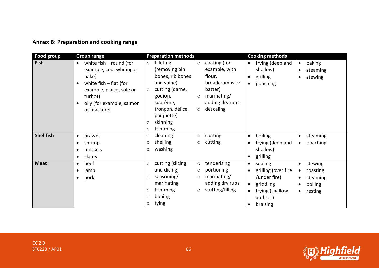# **Annex B: Preparation and cooking range**

<span id="page-65-0"></span>

| Food group       | <b>Group range</b>                                                                                                                                                                                                   | <b>Preparation methods</b>                                                                                                                                                                                                                                                                                                                                        | <b>Cooking methods</b>                                                                                                                    |
|------------------|----------------------------------------------------------------------------------------------------------------------------------------------------------------------------------------------------------------------|-------------------------------------------------------------------------------------------------------------------------------------------------------------------------------------------------------------------------------------------------------------------------------------------------------------------------------------------------------------------|-------------------------------------------------------------------------------------------------------------------------------------------|
| <b>Fish</b>      | white $fish$ – round (for<br>$\bullet$<br>example, cod, whiting or<br>hake)<br>white $fish - flat$ (for<br>$\bullet$<br>example, plaice, sole or<br>turbot)<br>oily (for example, salmon<br>$\bullet$<br>or mackerel | filleting<br>coating (for<br>$\circ$<br>$\circ$<br>example, with<br>(removing pin<br>bones, rib bones<br>flour,<br>breadcrumbs or<br>and spine)<br>cutting (darne,<br>batter)<br>$\circ$<br>marinating/<br>goujon,<br>$\circ$<br>adding dry rubs<br>suprême,<br>$\circ$ descaling<br>tronçon, délice,<br>paupiette)<br>skinning<br>$\circ$<br>trimming<br>$\circ$ | frying (deep and<br>baking<br>$\bullet$<br>shallow)<br>steaming<br>grilling<br>stewing<br>$\bullet$<br>$\bullet$<br>poaching<br>$\bullet$ |
| <b>Shellfish</b> | prawns<br>$\bullet$                                                                                                                                                                                                  | coating<br>cleaning<br>$\circ$<br>$\circ$                                                                                                                                                                                                                                                                                                                         | boiling<br>steaming<br>$\bullet$<br>٠                                                                                                     |
|                  | shrimp                                                                                                                                                                                                               | shelling<br>cutting<br>$\circ$<br>O                                                                                                                                                                                                                                                                                                                               | frying (deep and<br>poaching<br>$\bullet$                                                                                                 |
|                  | mussels                                                                                                                                                                                                              | washing<br>$\circ$                                                                                                                                                                                                                                                                                                                                                | shallow)                                                                                                                                  |
|                  | clams                                                                                                                                                                                                                |                                                                                                                                                                                                                                                                                                                                                                   | grilling<br>$\bullet$                                                                                                                     |
| <b>Meat</b>      | beef<br>$\bullet$                                                                                                                                                                                                    | cutting (slicing<br>tenderising<br>$\circ$<br>$\circ$                                                                                                                                                                                                                                                                                                             | sealing<br>stewing<br>$\bullet$<br>$\bullet$                                                                                              |
|                  | lamb<br>$\bullet$                                                                                                                                                                                                    | and dicing)<br>portioning<br>$\circ$                                                                                                                                                                                                                                                                                                                              | grilling (over fire<br>roasting<br>$\bullet$                                                                                              |
|                  | pork<br>$\bullet$                                                                                                                                                                                                    | seasoning/<br>marinating/<br>$\circ$<br>$\circ$                                                                                                                                                                                                                                                                                                                   | /under fire)<br>steaming<br>$\bullet$                                                                                                     |
|                  |                                                                                                                                                                                                                      | adding dry rubs<br>marinating                                                                                                                                                                                                                                                                                                                                     | griddling<br>boiling<br>$\bullet$<br>$\bullet$                                                                                            |
|                  |                                                                                                                                                                                                                      | stuffing/filling<br>trimming<br>$\circ$<br>O                                                                                                                                                                                                                                                                                                                      | frying (shallow<br>$\bullet$<br>resting<br>$\bullet$                                                                                      |
|                  |                                                                                                                                                                                                                      | boning<br>O                                                                                                                                                                                                                                                                                                                                                       | and stir)                                                                                                                                 |
|                  |                                                                                                                                                                                                                      | tying<br>O                                                                                                                                                                                                                                                                                                                                                        | braising                                                                                                                                  |

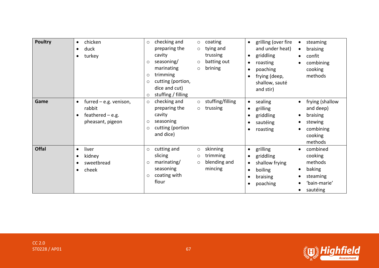| <b>Poultry</b> | chicken<br>$\bullet$<br>duck<br>turkey                                                    | checking and<br>coating<br>$\circ$<br>$\circ$<br>preparing the<br>tying and<br>$\circ$<br>cavity<br>trussing<br>seasoning/<br>batting out<br>$\circ$<br>$\circ$<br>marinating<br>brining<br>$\circ$<br>trimming<br>O<br>cutting (portion,<br>O<br>dice and cut)<br>stuffing / filling<br>$\circ$ | grilling (over fire<br>steaming<br>$\bullet$<br>$\bullet$<br>and under heat)<br>braising<br>$\bullet$<br>griddling<br>confit<br>$\bullet$<br>roasting<br>combining<br>$\bullet$<br>$\bullet$<br>cooking<br>poaching<br>$\bullet$<br>methods<br>frying (deep,<br>$\bullet$<br>shallow, sauté<br>and stir) |
|----------------|-------------------------------------------------------------------------------------------|--------------------------------------------------------------------------------------------------------------------------------------------------------------------------------------------------------------------------------------------------------------------------------------------------|----------------------------------------------------------------------------------------------------------------------------------------------------------------------------------------------------------------------------------------------------------------------------------------------------------|
| Game           | furred $-$ e.g. venison,<br>$\bullet$<br>rabbit<br>feathered $-$ e.g.<br>pheasant, pigeon | checking and<br>stuffing/filling<br>$\circ$<br>$\circ$<br>preparing the<br>trussing<br>$\circ$<br>cavity<br>seasoning<br>O<br>cutting (portion<br>O<br>and dice)                                                                                                                                 | sealing<br>frying (shallow<br>$\bullet$<br>and deep)<br>grilling<br>$\bullet$<br>braising<br>griddling<br>$\bullet$<br>$\bullet$<br>sautéing<br>stewing<br>$\bullet$<br>combining<br>roasting<br>$\bullet$<br>cooking<br>methods                                                                         |
| <b>Offal</b>   | liver<br>$\bullet$<br>kidney<br>sweetbread<br>cheek<br>$\bullet$                          | cutting and<br>skinning<br>$\circ$<br>$\circ$<br>slicing<br>trimming<br>$\circ$<br>marinating/<br>blending and<br>$\circ$<br>$\circ$<br>mincing<br>seasoning<br>coating with<br>$\circ$<br>flour                                                                                                 | grilling<br>combined<br>$\bullet$<br>cooking<br>griddling<br>$\bullet$<br>methods<br>shallow frying<br>$\bullet$<br>baking<br>boiling<br>$\bullet$<br>steaming<br>braising<br>$\bullet$<br>'bain-marie'<br>poaching<br>$\bullet$<br>sautéing                                                             |

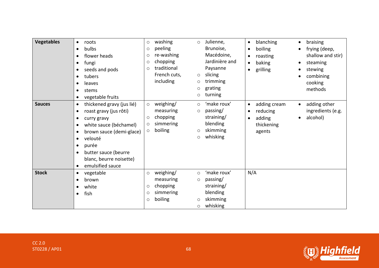| <b>Vegetables</b> | roots<br>$\bullet$<br>bulbs<br>$\bullet$<br>flower heads<br>fungi<br>$\bullet$<br>seeds and pods<br>٠<br>tubers<br>$\bullet$<br>leaves<br>stems<br>vegetable fruits                                                                                                                            | washing<br>$\circ$<br>peeling<br>$\circ$<br>re-washing<br>$\circ$<br>chopping<br>$\circ$<br>traditional<br>$\circ$<br>French cuts,<br>including | Julienne,<br>$\circ$<br>Brunoise,<br>Macédoine,<br>Jardinière and<br>Paysanne<br>slicing<br>$\circ$<br>trimming<br>$\circ$<br>grating<br>$\circ$<br>turning<br>$\circ$ | blanching<br>braising<br>$\bullet$<br>$\bullet$<br>boiling<br>frying (deep,<br>$\bullet$<br>shallow and stir)<br>roasting<br>$\bullet$<br>baking<br>steaming<br>$\bullet$<br>grilling<br>stewing<br>$\bullet$<br>combining<br>cooking<br>methods |
|-------------------|------------------------------------------------------------------------------------------------------------------------------------------------------------------------------------------------------------------------------------------------------------------------------------------------|-------------------------------------------------------------------------------------------------------------------------------------------------|------------------------------------------------------------------------------------------------------------------------------------------------------------------------|--------------------------------------------------------------------------------------------------------------------------------------------------------------------------------------------------------------------------------------------------|
| <b>Sauces</b>     | thickened gravy (jus lié)<br>$\bullet$<br>roast gravy (jus rôti)<br>$\bullet$<br>curry gravy<br>٠<br>white sauce (béchamel)<br>٠<br>brown sauce (demi-glace)<br>velouté<br>$\bullet$<br>purée<br>$\bullet$<br>butter sauce (beurre<br>blanc, beurre noisette)<br>emulsified sauce<br>$\bullet$ | weighing/<br>$\circ$<br>measuring<br>chopping<br>$\circ$<br>simmering<br>$\circ$<br>boiling<br>$\circ$                                          | 'make roux'<br>$\circ$<br>passing/<br>$\circ$<br>straining/<br>blending<br>skimming<br>$\circ$<br>whisking<br>$\circ$                                                  | adding cream<br>adding other<br>$\bullet$<br>$\bullet$<br>ingredients (e.g.<br>reducing<br>$\bullet$<br>alcohol)<br>adding<br>$\bullet$<br>$\bullet$<br>thickening<br>agents                                                                     |
| <b>Stock</b>      | vegetable<br>$\bullet$<br>brown<br>٠<br>white<br>fish<br>$\bullet$                                                                                                                                                                                                                             | weighing/<br>$\circ$<br>measuring<br>chopping<br>$\circ$<br>simmering<br>$\circ$<br>boiling<br>$\circ$                                          | 'make roux'<br>$\circ$<br>passing/<br>$\circ$<br>straining/<br>blending<br>skimming<br>$\circ$<br>whisking<br>$\circ$                                                  | N/A                                                                                                                                                                                                                                              |

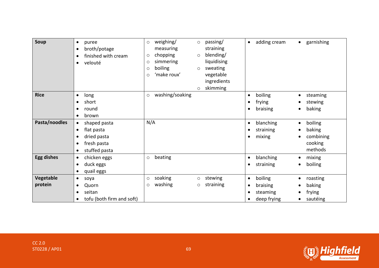| Soup                 | puree<br>$\bullet$<br>broth/potage<br>$\bullet$<br>finished with cream<br>٠<br>velouté<br>$\bullet$ | weighing/<br>passing/<br>$\circ$<br>$\circ$<br>straining<br>measuring<br>blending/<br>chopping<br>$\circ$<br>$\circ$<br>liquidising<br>simmering<br>$\circ$<br>boiling<br>sweating<br>$\circ$<br>$\circ$<br>'make roux'<br>vegetable<br>$\circ$<br>ingredients<br>skimming<br>$\circ$ | adding cream<br>garnishing<br>$\bullet$<br>$\bullet$                                                                                                |
|----------------------|-----------------------------------------------------------------------------------------------------|---------------------------------------------------------------------------------------------------------------------------------------------------------------------------------------------------------------------------------------------------------------------------------------|-----------------------------------------------------------------------------------------------------------------------------------------------------|
| <b>Rice</b>          | long<br>$\bullet$<br>short<br>$\bullet$<br>round<br>٠<br>brown<br>$\bullet$                         | washing/soaking<br>$\circ$                                                                                                                                                                                                                                                            | boiling<br>steaming<br>$\bullet$<br>٠<br>frying<br>stewing<br>$\bullet$<br>baking<br>braising<br>$\bullet$<br>$\bullet$                             |
| Pasta/noodles        | shaped pasta<br>$\bullet$<br>flat pasta<br>$\bullet$<br>dried pasta<br>fresh pasta<br>stuffed pasta | N/A                                                                                                                                                                                                                                                                                   | blanching<br>boiling<br>$\bullet$<br>$\bullet$<br>baking<br>straining<br>$\bullet$<br>combining<br>mixing<br>$\bullet$<br>cooking<br>methods        |
| <b>Egg dishes</b>    | chicken eggs<br>$\bullet$<br>duck eggs<br>$\bullet$<br>quail eggs                                   | beating<br>$\circ$                                                                                                                                                                                                                                                                    | blanching<br>mixing<br>$\bullet$<br>$\bullet$<br>boiling<br>straining<br>$\bullet$<br>$\bullet$                                                     |
| Vegetable<br>protein | soya<br>$\bullet$<br>Quorn<br>$\bullet$<br>seitan<br>$\bullet$<br>tofu (both firm and soft)         | soaking<br>stewing<br>$\circ$<br>$\circ$<br>washing<br>straining<br>$\circ$<br>$\circ$                                                                                                                                                                                                | boiling<br>roasting<br>$\bullet$<br>٠<br>baking<br>braising<br>$\bullet$<br>frying<br>steaming<br>$\bullet$<br>deep frying<br>sautéing<br>$\bullet$ |



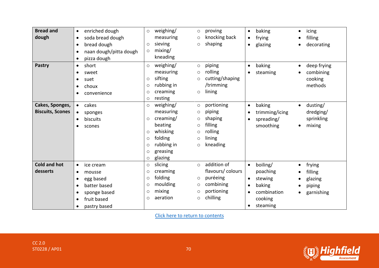| <b>Bread and</b>        | enriched dough<br>$\bullet$         | $\circ$ | weighing/<br>$\circ$  | proving          | $\bullet$ | baking         | $\bullet$ | icing       |
|-------------------------|-------------------------------------|---------|-----------------------|------------------|-----------|----------------|-----------|-------------|
| dough                   | soda bread dough<br>$\bullet$       |         | measuring<br>$\circ$  | knocking back    | $\bullet$ | frying         |           | filling     |
|                         | bread dough                         | $\circ$ | sieving<br>$\circ$    | shaping          | $\bullet$ | glazing        |           | decorating  |
|                         | naan dough/pitta dough<br>$\bullet$ | $\circ$ | mixing/               |                  |           |                |           |             |
|                         | pizza dough                         |         | kneading              |                  |           |                |           |             |
| <b>Pastry</b>           | short<br>$\bullet$                  | $\circ$ | weighing/<br>$\circ$  | piping           | $\bullet$ | baking         | ٠         | deep frying |
|                         | sweet                               |         | measuring<br>$\circ$  | rolling          |           | steaming       |           | combining   |
|                         | suet                                | $\circ$ | sifting<br>$\circ$    | cutting/shaping  |           |                |           | cooking     |
|                         | choux<br>$\bullet$                  | $\circ$ | rubbing in            | /trimming        |           |                |           | methods     |
|                         | convenience                         | $\circ$ | creaming<br>$\circ$   | lining           |           |                |           |             |
|                         |                                     | $\circ$ | resting               |                  |           |                |           |             |
| Cakes, Sponges,         | cakes<br>$\bullet$                  | $\circ$ | weighing/<br>$\circ$  | portioning       | $\bullet$ | baking         | $\bullet$ | dusting/    |
| <b>Biscuits, Scones</b> | sponges                             |         | measuring<br>$\circ$  | piping           |           | trimming/icing |           | dredging/   |
|                         | biscuits<br>$\bullet$               | $\circ$ | creaming/<br>$\circ$  | shaping          | $\bullet$ | spreading/     |           | sprinkling  |
|                         | scones                              |         | beating<br>$\circ$    | filling          |           | smoothing      | $\bullet$ | mixing      |
|                         |                                     | $\circ$ | whisking<br>$\circ$   | rolling          |           |                |           |             |
|                         |                                     | $\circ$ | folding<br>$\circ$    | lining           |           |                |           |             |
|                         |                                     | $\circ$ | rubbing in<br>$\circ$ | kneading         |           |                |           |             |
|                         |                                     | $\circ$ | greasing              |                  |           |                |           |             |
|                         |                                     | $\circ$ | glazing               |                  |           |                |           |             |
| <b>Cold and hot</b>     | ice cream<br>$\bullet$              | $\circ$ | slicing<br>$\circ$    | addition of      | $\bullet$ | boiling/       | $\bullet$ | frying      |
| desserts                | mousse<br>$\bullet$                 | $\circ$ | creaming              | flavours/colours |           | poaching       |           | filling     |
|                         | egg based                           | $\circ$ | folding<br>$\circ$    | puréeing         | $\bullet$ | stewing        |           | glazing     |
|                         | batter based                        | $\circ$ | moulding<br>$\circ$   | combining        | $\bullet$ | baking         |           | piping      |
|                         | sponge based                        | $\circ$ | mixing<br>$\circ$     | portioning       | $\bullet$ | combination    |           | garnishing  |
|                         | fruit based                         | $\circ$ | aeration<br>$\circ$   | chilling         |           | cooking        |           |             |
|                         | pastry based                        |         |                       |                  | $\bullet$ | steaming       |           |             |